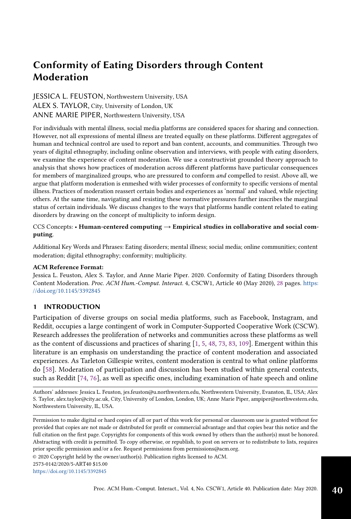# JESSICA L. FEUSTON, Northwestern University, USA ALEX S. TAYLOR, City, University of London, UK ANNE MARIE PIPER, Northwestern University, USA

For individuals with mental illness, social media platforms are considered spaces for sharing and connection. However, not all expressions of mental illness are treated equally on these platforms. Different aggregates of human and technical control are used to report and ban content, accounts, and communities. Through two years of digital ethnography, including online observation and interviews, with people with eating disorders, we examine the experience of content moderation. We use a constructivist grounded theory approach to analysis that shows how practices of moderation across different platforms have particular consequences for members of marginalized groups, who are pressured to conform and compelled to resist. Above all, we argue that platform moderation is enmeshed with wider processes of conformity to specific versions of mental illness. Practices of moderation reassert certain bodies and experiences as 'normal' and valued, while rejecting others. At the same time, navigating and resisting these normative pressures further inscribes the marginal status of certain individuals. We discuss changes to the ways that platforms handle content related to eating disorders by drawing on the concept of multiplicity to inform design.

# CCS Concepts: • Human-centered computing  $\rightarrow$  Empirical studies in collaborative and social computing.

Additional Key Words and Phrases: Eating disorders; mental illness; social media; online communities; content moderation; digital ethnography; conformity; multiplicity.

# ACM Reference Format:

Jessica L. Feuston, Alex S. Taylor, and Anne Marie Piper. 2020. Conformity of Eating Disorders through Content Moderation. Proc. ACM Hum.-Comput. Interact. 4, CSCW1, Article 40 (May 2020), [28](#page-27-0) pages. [https:](https://doi.org/10.1145/3392845) [//doi.org/10.1145/3392845](https://doi.org/10.1145/3392845)

# 1 INTRODUCTION

Participation of diverse groups on social media platforms, such as Facebook, Instagram, and Reddit, occupies a large contingent of work in Computer-Supported Cooperative Work (CSCW). Research addresses the proliferation of networks and communities across these platforms as well as the content of discussions and practices of sharing [\[1,](#page-21-0) [5,](#page-21-1) [48,](#page-23-0) [73,](#page-24-0) [83,](#page-24-1) [109\]](#page-25-0). Emergent within this literature is an emphasis on understanding the practice of content moderation and associated experiences. As Tarleton Gillespie writes, content moderation is central to what online platforms do [\[58\]](#page-23-1). Moderation of participation and discussion has been studied within general contexts, such as Reddit [\[74,](#page-24-2) [76\]](#page-24-3), as well as specific ones, including examination of hate speech and online

Authors' addresses: Jessica L. Feuston, jes.feuston@u.northwestern.edu, Northwestern University, Evanston, IL, USA; Alex S. Taylor, alex.taylor@city.ac.uk, City, University of London, London, UK; Anne Marie Piper, ampiper@northwestern.edu, Northwestern University, IL, USA.

© 2020 Copyright held by the owner/author(s). Publication rights licensed to ACM.

<https://doi.org/10.1145/3392845>

Permission to make digital or hard copies of all or part of this work for personal or classroom use is granted without fee provided that copies are not made or distributed for profit or commercial advantage and that copies bear this notice and the full citation on the first page. Copyrights for components of this work owned by others than the author(s) must be honored. Abstracting with credit is permitted. To copy otherwise, or republish, to post on servers or to redistribute to lists, requires prior specific permission and/or a fee. Request permissions from permissions@acm.org.

<sup>2573-0142/2020/5-</sup>ART40 \$15.00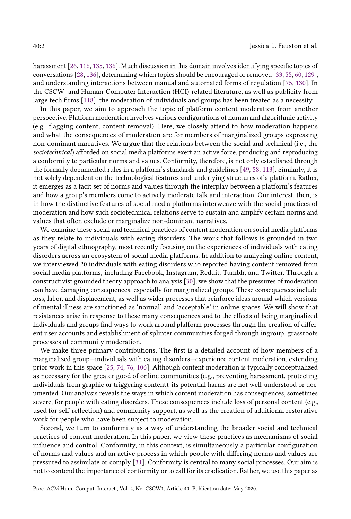harassment [\[26,](#page-22-0) [116,](#page-25-1) [135,](#page-26-0) [136\]](#page-26-1). Much discussion in this domain involves identifying specific topics of conversations [\[28,](#page-22-1) [136\]](#page-26-1), determining which topics should be encouraged or removed [\[33,](#page-22-2) [55,](#page-23-2) [60,](#page-23-3) [129\]](#page-26-2), and understanding interactions between manual and automated forms of regulation [\[75,](#page-24-4) [130\]](#page-26-3). In the CSCW- and Human-Computer Interaction (HCI)-related literature, as well as publicity from large tech firms [\[118\]](#page-26-4), the moderation of individuals and groups has been treated as a necessity.

In this paper, we aim to approach the topic of platform content moderation from another perspective. Platform moderation involves various configurations of human and algorithmic activity (e.g., flagging content, content removal). Here, we closely attend to how moderation happens and what the consequences of moderation are for members of marginalized groups expressing non-dominant narratives. We argue that the relations between the social and technical (i.e., the sociotechnical) afforded on social media platforms exert an active force, producing and reproducing a conformity to particular norms and values. Conformity, therefore, is not only established through the formally documented rules in a platform's standards and guidelines [\[49,](#page-23-4) [58,](#page-23-1) [113\]](#page-25-2). Similarly, it is not solely dependent on the technological features and underlying structures of a platform. Rather, it emerges as a tacit set of norms and values through the interplay between a platform's features and how a group's members come to actively moderate talk and interaction. Our interest, then, is in how the distinctive features of social media platforms interweave with the social practices of moderation and how such sociotechnical relations serve to sustain and amplify certain norms and values that often exclude or marginalize non-dominant narratives.

We examine these social and technical practices of content moderation on social media platforms as they relate to individuals with eating disorders. The work that follows is grounded in two years of digital ethnography, most recently focusing on the experiences of individuals with eating disorders across an ecosystem of social media platforms. In addition to analyzing online content, we interviewed 20 individuals with eating disorders who reported having content removed from social media platforms, including Facebook, Instagram, Reddit, Tumblr, and Twitter. Through a constructivist grounded theory approach to analysis [\[30\]](#page-22-3), we show that the pressures of moderation can have damaging consequences, especially for marginalized groups. These consequences include loss, labor, and displacement, as well as wider processes that reinforce ideas around which versions of mental illness are sanctioned as 'normal' and 'acceptable' in online spaces. We will show that resistances arise in response to these many consequences and to the effects of being marginalized. Individuals and groups find ways to work around platform processes through the creation of different user accounts and establishment of splinter communities forged through ingroup, grassroots processes of community moderation.

We make three primary contributions. The first is a detailed account of how members of a marginalized group—individuals with eating disorders—experience content moderation, extending prior work in this space [\[25,](#page-22-4) [74,](#page-24-2) [76,](#page-24-3) [106\]](#page-25-3). Although content moderation is typically conceptualized as necessary for the greater good of online communities (e.g., preventing harassment, protecting individuals from graphic or triggering content), its potential harms are not well-understood or documented. Our analysis reveals the ways in which content moderation has consequences, sometimes severe, for people with eating disorders. These consequences include loss of personal content (e.g., used for self-reflection) and community support, as well as the creation of additional restorative work for people who have been subject to moderation.

Second, we turn to conformity as a way of understanding the broader social and technical practices of content moderation. In this paper, we view these practices as mechanisms of social influence and control. Conformity, in this context, is simultaneously a particular configuration of norms and values and an active process in which people with differing norms and values are pressured to assimilate or comply [\[31\]](#page-22-5). Conformity is central to many social processes. Our aim is not to contend the importance of conformity or to call for its eradication. Rather, we use this paper as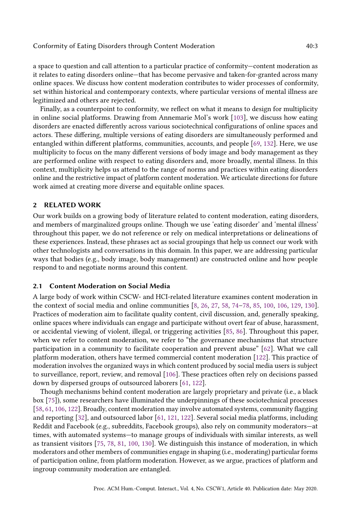a space to question and call attention to a particular practice of conformity—content moderation as it relates to eating disorders online—that has become pervasive and taken-for-granted across many online spaces. We discuss how content moderation contributes to wider processes of conformity, set within historical and contemporary contexts, where particular versions of mental illness are legitimized and others are rejected.

Finally, as a counterpoint to conformity, we reflect on what it means to design for multiplicity in online social platforms. Drawing from Annemarie Mol's work [\[103\]](#page-25-4), we discuss how eating disorders are enacted differently across various sociotechnical configurations of online spaces and actors. These differing, multiple versions of eating disorders are simultaneously performed and entangled within different platforms, communities, accounts, and people [\[69,](#page-23-5) [132\]](#page-26-5). Here, we use multiplicity to focus on the many different versions of body image and body management as they are performed online with respect to eating disorders and, more broadly, mental illness. In this context, multiplicity helps us attend to the range of norms and practices within eating disorders online and the restrictive impact of platform content moderation. We articulate directions for future work aimed at creating more diverse and equitable online spaces.

# 2 RELATED WORK

Our work builds on a growing body of literature related to content moderation, eating disorders, and members of marginalized groups online. Though we use 'eating disorder' and 'mental illness' throughout this paper, we do not reference or rely on medical interpretations or delineations of these experiences. Instead, these phrases act as social groupings that help us connect our work with other technologists and conversations in this domain. In this paper, we are addressing particular ways that bodies (e.g., body image, body management) are constructed online and how people respond to and negotiate norms around this content.

## 2.1 Content Moderation on Social Media

A large body of work within CSCW- and HCI-related literature examines content moderation in the context of social media and online communities [\[8,](#page-21-2) [26,](#page-22-0) [27,](#page-22-6) [58,](#page-23-1) [74–](#page-24-2)[78,](#page-24-5) [85,](#page-24-6) [100,](#page-25-5) [106,](#page-25-3) [129,](#page-26-2) [130\]](#page-26-3). Practices of moderation aim to facilitate quality content, civil discussion, and, generally speaking, online spaces where individuals can engage and participate without overt fear of abuse, harassment, or accidental viewing of violent, illegal, or triggering activities [\[85,](#page-24-6) [86\]](#page-24-7). Throughout this paper, when we refer to content moderation, we refer to "the governance mechanisms that structure participation in a community to facilitate cooperation and prevent abuse" [\[62\]](#page-23-6). What we call platform moderation, others have termed commercial content moderation [\[122\]](#page-26-6). This practice of moderation involves the organized ways in which content produced by social media users is subject to surveillance, report, review, and removal [\[106\]](#page-25-3). These practices often rely on decisions passed down by dispersed groups of outsourced laborers [\[61,](#page-23-7) [122\]](#page-26-6).

Though mechanisms behind content moderation are largely proprietary and private (i.e., a black box [\[75\]](#page-24-4)), some researchers have illuminated the underpinnings of these sociotechnical processes [\[58,](#page-23-1) [61,](#page-23-7) [106,](#page-25-3) [122\]](#page-26-6). Broadly, content moderation may involve automated systems, community flagging and reporting [\[32\]](#page-22-7), and outsourced labor [\[61,](#page-23-7) [121,](#page-26-7) [122\]](#page-26-6). Several social media platforms, including Reddit and Facebook (e.g., subreddits, Facebook groups), also rely on community moderators—at times, with automated systems—to manage groups of individuals with similar interests, as well as transient visitors [\[75,](#page-24-4) [78,](#page-24-5) [81,](#page-24-8) [100,](#page-25-5) [130\]](#page-26-3). We distinguish this instance of moderation, in which moderators and other members of communities engage in shaping (i.e., moderating) particular forms of participation online, from platform moderation. However, as we argue, practices of platform and ingroup community moderation are entangled.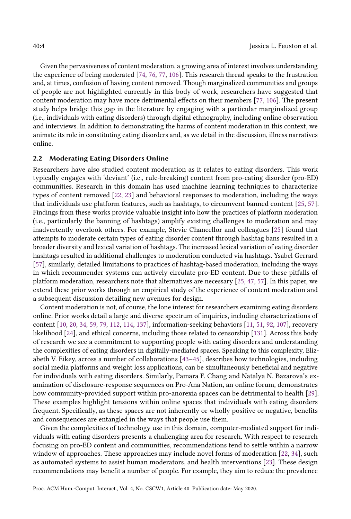Given the pervasiveness of content moderation, a growing area of interest involves understanding the experience of being moderated [\[74,](#page-24-2) [76,](#page-24-3) [77,](#page-24-9) [106\]](#page-25-3). This research thread speaks to the frustration and, at times, confusion of having content removed. Though marginalized communities and groups of people are not highlighted currently in this body of work, researchers have suggested that content moderation may have more detrimental effects on their members [\[77,](#page-24-9) [106\]](#page-25-3). The present study helps bridge this gap in the literature by engaging with a particular marginalized group (i.e., individuals with eating disorders) through digital ethnography, including online observation and interviews. In addition to demonstrating the harms of content moderation in this context, we animate its role in constituting eating disorders and, as we detail in the discussion, illness narratives online.

## 2.2 Moderating Eating Disorders Online

Researchers have also studied content moderation as it relates to eating disorders. This work typically engages with 'deviant' (i.e., rule-breaking) content from pro-eating disorder (pro-ED) communities. Research in this domain has used machine learning techniques to characterize types of content removed [\[22,](#page-21-3) [23\]](#page-22-8) and behavioral responses to moderation, including the ways that individuals use platform features, such as hashtags, to circumvent banned content [\[25,](#page-22-4) [57\]](#page-23-8). Findings from these works provide valuable insight into how the practices of platform moderation (i.e., particularly the banning of hashtags) amplify existing challenges to moderation and may inadvertently overlook others. For example, Stevie Chancellor and colleagues [\[25\]](#page-22-4) found that attempts to moderate certain types of eating disorder content through hashtag bans resulted in a broader diversity and lexical variation of hashtags. The increased lexical variation of eating disorder hashtags resulted in additional challenges to moderation conducted via hashtags. Ysabel Gerrard [\[57\]](#page-23-8), similarly, detailed limitations to practices of hashtag-based moderation, including the ways in which recommender systems can actively circulate pro-ED content. Due to these pitfalls of platform moderation, researchers note that alternatives are necessary [\[25,](#page-22-4) [47,](#page-23-9) [57\]](#page-23-8). In this paper, we extend these prior works through an empirical study of the experience of content moderation and a subsequent discussion detailing new avenues for design.

Content moderation is not, of course, the lone interest for researchers examining eating disorders online. Prior works detail a large and diverse spectrum of inquiries, including characterizations of content [\[10,](#page-21-4) [20,](#page-21-5) [34,](#page-22-9) [59,](#page-23-10) [79,](#page-24-10) [112,](#page-25-6) [114,](#page-25-7) [137\]](#page-26-8), information-seeking behaviors [\[11,](#page-21-6) [51,](#page-23-11) [92,](#page-24-11) [107\]](#page-25-8), recovery likelihood [\[24\]](#page-22-10), and ethical concerns, including those related to censorship [\[131\]](#page-26-9). Across this body of research we see a commitment to supporting people with eating disorders and understanding the complexities of eating disorders in digitally-mediated spaces. Speaking to this complexity, Elizabeth V. Eikey, across a number of collaborations [\[43–](#page-22-11)[45\]](#page-22-12), describes how technologies, including social media platforms and weight loss applications, can be simultaneously beneficial and negative for individuals with eating disorders. Similarly, Pamara F. Chang and Natalya N. Bazarova's examination of disclosure-response sequences on Pro-Ana Nation, an online forum, demonstrates how community-provided support within pro-anorexia spaces can be detrimental to health [\[29\]](#page-22-13). These examples highlight tensions within online spaces that individuals with eating disorders frequent. Specifically, as these spaces are not inherently or wholly positive or negative, benefits and consequences are entangled in the ways that people use them.

Given the complexities of technology use in this domain, computer-mediated support for individuals with eating disorders presents a challenging area for research. With respect to research focusing on pro-ED content and communities, recommendations tend to settle within a narrow window of approaches. These approaches may include novel forms of moderation [\[22,](#page-21-3) [34\]](#page-22-9), such as automated systems to assist human moderators, and health interventions [\[23\]](#page-22-8). These design recommendations may benefit a number of people. For example, they aim to reduce the prevalence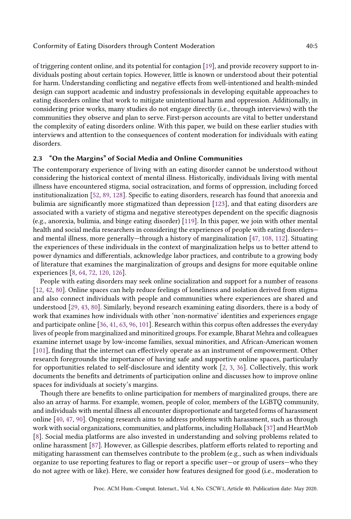of triggering content online, and its potential for contagion [\[19\]](#page-21-7), and provide recovery support to individuals posting about certain topics. However, little is known or understood about their potential for harm. Understanding conflicting and negative effects from well-intentioned and health-minded design can support academic and industry professionals in developing equitable approaches to eating disorders online that work to mitigate unintentional harm and oppression. Additionally, in considering prior works, many studies do not engage directly (i.e., through interviews) with the communities they observe and plan to serve. First-person accounts are vital to better understand the complexity of eating disorders online. With this paper, we build on these earlier studies with interviews and attention to the consequences of content moderation for individuals with eating disorders.

# 2.3 "On the Margins" of Social Media and Online Communities

The contemporary experience of living with an eating disorder cannot be understood without considering the historical context of mental illness. Historically, individuals living with mental illness have encountered stigma, social ostracization, and forms of oppression, including forced institutionalization [\[52,](#page-23-12) [89,](#page-24-12) [128\]](#page-26-10). Specific to eating disorders, research has found that anorexia and bulimia are significantly more stigmatized than depression [\[123\]](#page-26-11), and that eating disorders are associated with a variety of stigma and negative stereotypes dependent on the specific diagnosis (e.g., anorexia, bulimia, and binge eating disorder) [\[119\]](#page-26-12). In this paper, we join with other mental health and social media researchers in considering the experiences of people with eating disorders and mental illness, more generally—through a history of marginalization [\[47,](#page-23-9) [108,](#page-25-9) [112\]](#page-25-6). Situating the experiences of these individuals in the context of marginalization helps us to better attend to power dynamics and differentials, acknowledge labor practices, and contribute to a growing body of literature that examines the marginalization of groups and designs for more equitable online experiences [\[8,](#page-21-2) [64,](#page-23-13) [72,](#page-24-13) [120,](#page-26-13) [126\]](#page-26-14).

People with eating disorders may seek online socialization and support for a number of reasons [\[12,](#page-21-8) [42,](#page-22-14) [80\]](#page-24-14). Online spaces can help reduce feelings of loneliness and isolation derived from stigma and also connect individuals with people and communities where experiences are shared and understood [\[29,](#page-22-13) [43,](#page-22-11) [80\]](#page-24-14). Similarly, beyond research examining eating disorders, there is a body of work that examines how individuals with other 'non-normative' identities and experiences engage and participate online [\[36,](#page-22-15) [41,](#page-22-16) [63,](#page-23-14) [96,](#page-25-10) [101\]](#page-25-11). Research within this corpus often addresses the everyday lives of people from marginalized and minoritized groups. For example, Bharat Mehra and colleagues examine internet usage by low-income families, sexual minorities, and African-American women [\[101\]](#page-25-11), finding that the internet can effectively operate as an instrument of empowerment. Other research foregrounds the importance of having safe and supportive online spaces, particularly for opportunities related to self-disclosure and identity work [\[2,](#page-21-9) [3,](#page-21-10) [36\]](#page-22-15). Collectively, this work documents the benefits and detriments of participation online and discusses how to improve online spaces for individuals at society's margins.

Though there are benefits to online participation for members of marginalized groups, there are also an array of harms. For example, women, people of color, members of the LGBTQ community, and individuals with mental illness all encounter disproportionate and targeted forms of harassment online [\[40,](#page-22-17) [47,](#page-23-9) [90\]](#page-24-15). Ongoing research aims to address problems with harassment, such as through work with social organizations, communities, and platforms, including Hollaback [\[37\]](#page-22-18) and HeartMob [\[8\]](#page-21-2). Social media platforms are also invested in understanding and solving problems related to online harassment [\[87\]](#page-24-16). However, as Gillespie describes, platform efforts related to reporting and mitigating harassment can themselves contribute to the problem (e.g., such as when individuals organize to use reporting features to flag or report a specific user—or group of users—who they do not agree with or like). Here, we consider how features designed for good (i.e., moderation to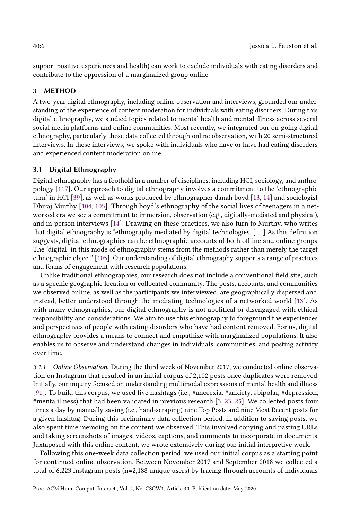support positive experiences and health) can work to exclude individuals with eating disorders and contribute to the oppression of a marginalized group online.

# 3 METHOD

A two-year digital ethnography, including online observation and interviews, grounded our understanding of the experience of content moderation for individuals with eating disorders. During this digital ethnography, we studied topics related to mental health and mental illness across several social media platforms and online communities. Most recently, we integrated our on-going digital ethnography, particularly those data collected through online observation, with 20 semi-structured interviews. In these interviews, we spoke with individuals who have or have had eating disorders and experienced content moderation online.

# 3.1 Digital Ethnography

Digital ethnography has a foothold in a number of disciplines, including HCI, sociology, and anthropology [\[117\]](#page-26-15). Our approach to digital ethnography involves a commitment to the 'ethnographic turn' in HCI [\[39\]](#page-22-19), as well as works produced by ethnographer danah boyd [\[13,](#page-21-11) [14\]](#page-21-12) and sociologist Dhiraj Murthy [\[104,](#page-25-12) [105\]](#page-25-13). Through boyd's ethnography of the social lives of teenagers in a networked era we see a commitment to immersion, observation (e.g., digitally-mediated and physical), and in-person interviews [\[14\]](#page-21-12). Drawing on these practices, we also turn to Murthy, who writes that digital ethnography is "ethnography mediated by digital technologies. [. . . ] As this definition suggests, digital ethnographies can be ethnographic accounts of both offline and online groups. The 'digital' in this mode of ethnography stems from the methods rather than merely the target ethnographic object" [\[105\]](#page-25-13). Our understanding of digital ethnography supports a range of practices and forms of engagement with research populations.

Unlike traditional ethnographies, our research does not include a conventional field site, such as a specific geographic location or collocated community. The posts, accounts, and communities we observed online, as well as the participants we interviewed, are geographically dispersed and, instead, better understood through the mediating technologies of a networked world [\[13\]](#page-21-11). As with many ethnographies, our digital ethnography is not apolitical or disengaged with ethical responsibility and considerations. We aim to use this ethnography to foreground the experiences and perspectives of people with eating disorders who have had content removed. For us, digital ethnography provides a means to connect and empathize with marginalized populations. It also enables us to observe and understand changes in individuals, communities, and posting activity over time.

3.1.1 Online Observation. During the third week of November 2017, we conducted online observation on Instagram that resulted in an initial corpus of 2,102 posts once duplicates were removed. Initially, our inquiry focused on understanding multimodal expressions of mental health and illness [\[91\]](#page-24-17). To build this corpus, we used five hashtags (i.e., #anorexia, #anxiety, #bipolar, #depression, #mentalillness) that had been validated in previous research [\[3,](#page-21-10) [23,](#page-22-8) [25\]](#page-22-4). We collected posts four times a day by manually saving (i.e., hand-scraping) nine Top Posts and nine Most Recent posts for a given hashtag. During this preliminary data collection period, in addition to saving posts, we also spent time memoing on the content we observed. This involved copying and pasting URLs and taking screenshots of images, videos, captions, and comments to incorporate in documents. Juxtaposed with this online content, we wrote extensively during our initial interpretive work.

Following this one-week data collection period, we used our initial corpus as a starting point for continued online observation. Between November 2017 and September 2018 we collected a total of 6,223 Instagram posts (n=2,188 unique users) by tracing through accounts of individuals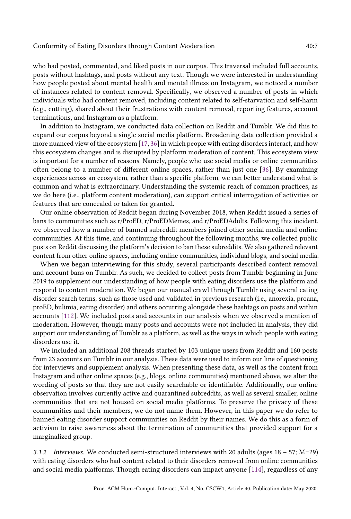who had posted, commented, and liked posts in our corpus. This traversal included full accounts, posts without hashtags, and posts without any text. Though we were interested in understanding how people posted about mental health and mental illness on Instagram, we noticed a number of instances related to content removal. Specifically, we observed a number of posts in which individuals who had content removed, including content related to self-starvation and self-harm (e.g., cutting), shared about their frustrations with content removal, reporting features, account terminations, and Instagram as a platform.

In addition to Instagram, we conducted data collection on Reddit and Tumblr. We did this to expand our corpus beyond a single social media platform. Broadening data collection provided a more nuanced view of the ecosystem [\[17,](#page-21-13) [36\]](#page-22-15) in which people with eating disorders interact, and how this ecosystem changes and is disrupted by platform moderation of content. This ecosystem view is important for a number of reasons. Namely, people who use social media or online communities often belong to a number of different online spaces, rather than just one [\[36\]](#page-22-15). By examining experiences across an ecosystem, rather than a specific platform, we can better understand what is common and what is extraordinary. Understanding the systemic reach of common practices, as we do here (i.e., platform content moderation), can support critical interrogation of activities or features that are concealed or taken for granted.

Our online observation of Reddit began during November 2018, when Reddit issued a series of bans to communities such as r/ProED, r/ProEDMemes, and r/ProEDAdults. Following this incident, we observed how a number of banned subreddit members joined other social media and online communities. At this time, and continuing throughout the following months, we collected public posts on Reddit discussing the platform's decision to ban these subreddits. We also gathered relevant content from other online spaces, including online communities, individual blogs, and social media.

When we began interviewing for this study, several participants described content removal and account bans on Tumblr. As such, we decided to collect posts from Tumblr beginning in June 2019 to supplement our understanding of how people with eating disorders use the platform and respond to content moderation. We began our manual crawl through Tumblr using several eating disorder search terms, such as those used and validated in previous research (i.e., anorexia, proana, proED, bulimia, eating disorder) and others occurring alongside these hashtags on posts and within accounts [\[112\]](#page-25-6). We included posts and accounts in our analysis when we observed a mention of moderation. However, though many posts and accounts were not included in analysis, they did support our understanding of Tumblr as a platform, as well as the ways in which people with eating disorders use it.

We included an additional 208 threads started by 103 unique users from Reddit and 160 posts from 23 accounts on Tumblr in our analysis. These data were used to inform our line of questioning for interviews and supplement analysis. When presenting these data, as well as the content from Instagram and other online spaces (e.g., blogs, online communities) mentioned above, we alter the wording of posts so that they are not easily searchable or identifiable. Additionally, our online observation involves currently active and quarantined subreddits, as well as several smaller, online communities that are not housed on social media platforms. To preserve the privacy of these communities and their members, we do not name them. However, in this paper we do refer to banned eating disorder support communities on Reddit by their names. We do this as a form of activism to raise awareness about the termination of communities that provided support for a marginalized group.

3.1.2 Interviews. We conducted semi-structured interviews with 20 adults (ages  $18 - 57$ ; M=29) with eating disorders who had content related to their disorders removed from online communities and social media platforms. Though eating disorders can impact anyone [\[114\]](#page-25-7), regardless of any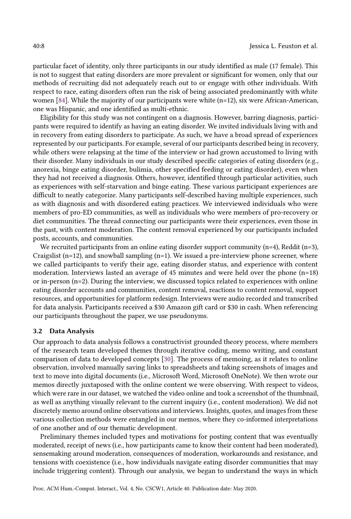particular facet of identity, only three participants in our study identified as male (17 female). This is not to suggest that eating disorders are more prevalent or significant for women, only that our methods of recruiting did not adequately reach out to or engage with other individuals. With respect to race, eating disorders often run the risk of being associated predominantly with white women [\[84\]](#page-24-18). While the majority of our participants were white (n=12), six were African-American, one was Hispanic, and one identified as multi-ethnic.

Eligibility for this study was not contingent on a diagnosis. However, barring diagnosis, participants were required to identify as having an eating disorder. We invited individuals living with and in recovery from eating disorders to participate. As such, we have a broad spread of experiences represented by our participants. For example, several of our participants described being in recovery, while others were relapsing at the time of the interview or had grown accustomed to living with their disorder. Many individuals in our study described specific categories of eating disorders (e.g., anorexia, binge eating disorder, bulimia, other specified feeding or eating disorder), even when they had not received a diagnosis. Others, however, identified through particular activities, such as experiences with self-starvation and binge eating. These various participant experiences are difficult to neatly categorize. Many participants self-described having multiple experiences, such as with diagnosis and with disordered eating practices. We interviewed individuals who were members of pro-ED communities, as well as individuals who were members of pro-recovery or diet communities. The thread connecting our participants were their experiences, even those in the past, with content moderation. The content removal experienced by our participants included posts, accounts, and communities.

We recruited participants from an online eating disorder support community  $(n=4)$ , Reddit  $(n=3)$ , Craigslist  $(n=12)$ , and snowball sampling  $(n=1)$ . We issued a pre-interview phone screener, where we called participants to verify their age, eating disorder status, and experience with content moderation. Interviews lasted an average of 45 minutes and were held over the phone  $(n=18)$ or in-person (n=2). During the interview, we discussed topics related to experiences with online eating disorder accounts and communities, content removal, reactions to content removal, support resources, and opportunities for platform redesign. Interviews were audio recorded and transcribed for data analysis. Participants received a \$30 Amazon gift card or \$30 in cash. When referencing our participants throughout the paper, we use pseudonyms.

#### 3.2 Data Analysis

Our approach to data analysis follows a constructivist grounded theory process, where members of the research team developed themes through iterative coding, memo writing, and constant comparison of data to developed concepts [\[30\]](#page-22-3). The process of memoing, as it relates to online observation, involved manually saving links to spreadsheets and taking screenshots of images and text to move into digital documents (i.e., Microsoft Word, Microsoft OneNote). We then wrote our memos directly juxtaposed with the online content we were observing. With respect to videos, which were rare in our dataset, we watched the video online and took a screenshot of the thumbnail, as well as anything visually relevant to the current inquiry (i.e., content moderation). We did not discretely memo around online observations and interviews. Insights, quotes, and images from these various collection methods were entangled in our memos, where they co-informed interpretations of one another and of our thematic development.

Preliminary themes included types and motivations for posting content that was eventually moderated, receipt of news (i.e., how participants came to know their content had been moderated), sensemaking around moderation, consequences of moderation, workarounds and resistance, and tensions with coexistence (i.e., how individuals navigate eating disorder communities that may include triggering content). Through our analysis, we began to understand the ways in which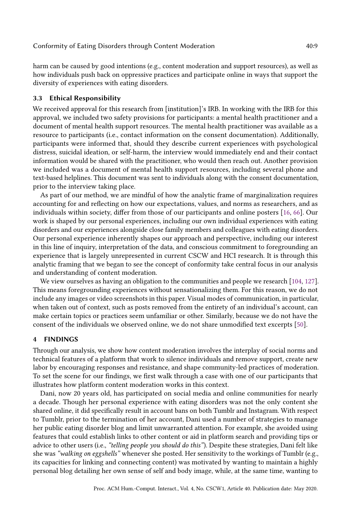harm can be caused by good intentions (e.g., content moderation and support resources), as well as how individuals push back on oppressive practices and participate online in ways that support the diversity of experiences with eating disorders.

# 3.3 Ethical Responsibility

We received approval for this research from [institution]'s IRB. In working with the IRB for this approval, we included two safety provisions for participants: a mental health practitioner and a document of mental health support resources. The mental health practitioner was available as a resource to participants (i.e., contact information on the consent documentation). Additionally, participants were informed that, should they describe current experiences with psychological distress, suicidal ideation, or self-harm, the interview would immediately end and their contact information would be shared with the practitioner, who would then reach out. Another provision we included was a document of mental health support resources, including several phone and text-based helplines. This document was sent to individuals along with the consent documentation, prior to the interview taking place.

As part of our method, we are mindful of how the analytic frame of marginalization requires accounting for and reflecting on how our expectations, values, and norms as researchers, and as individuals within society, differ from those of our participants and online posters [\[16,](#page-21-14) [66\]](#page-23-15). Our work is shaped by our personal experiences, including our own individual experiences with eating disorders and our experiences alongside close family members and colleagues with eating disorders. Our personal experience inherently shapes our approach and perspective, including our interest in this line of inquiry, interpretation of the data, and conscious commitment to foregrounding an experience that is largely unrepresented in current CSCW and HCI research. It is through this analytic framing that we began to see the concept of conformity take central focus in our analysis and understanding of content moderation.

We view ourselves as having an obligation to the communities and people we research [\[104,](#page-25-12) [127\]](#page-26-16). This means foregrounding experiences without sensationalizing them. For this reason, we do not include any images or video screenshots in this paper. Visual modes of communication, in particular, when taken out of context, such as posts removed from the entirety of an individual's account, can make certain topics or practices seem unfamiliar or other. Similarly, because we do not have the consent of the individuals we observed online, we do not share unmodified text excerpts [\[50\]](#page-23-16).

## 4 FINDINGS

Through our analysis, we show how content moderation involves the interplay of social norms and technical features of a platform that work to silence individuals and remove support, create new labor by encouraging responses and resistance, and shape community-led practices of moderation. To set the scene for our findings, we first walk through a case with one of our participants that illustrates how platform content moderation works in this context.

Dani, now 20 years old, has participated on social media and online communities for nearly a decade. Though her personal experience with eating disorders was not the only content she shared online, it did specifically result in account bans on both Tumblr and Instagram. With respect to Tumblr, prior to the termination of her account, Dani used a number of strategies to manage her public eating disorder blog and limit unwarranted attention. For example, she avoided using features that could establish links to other content or aid in platform search and providing tips or advice to other users (i.e., "telling people you should do this"). Despite these strategies, Dani felt like she was "walking on eggshells" whenever she posted. Her sensitivity to the workings of Tumblr (e.g., its capacities for linking and connecting content) was motivated by wanting to maintain a highly personal blog detailing her own sense of self and body image, while, at the same time, wanting to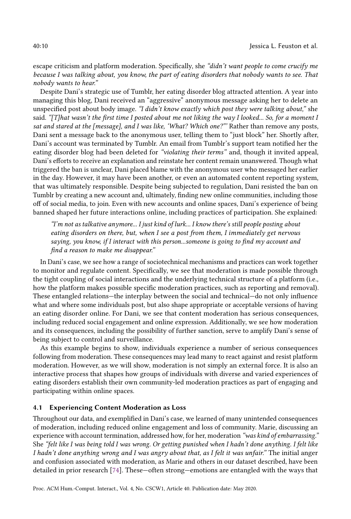escape criticism and platform moderation. Specifically, she "didn't want people to come crucify me because I was talking about, you know, the part of eating disorders that nobody wants to see. That nobody wants to hear."

Despite Dani's strategic use of Tumblr, her eating disorder blog attracted attention. A year into managing this blog, Dani received an "aggressive" anonymous message asking her to delete an unspecified post about body image. "I didn't know exactly which post they were talking about," she said. "[T]hat wasn't the first time I posted about me not liking the way I looked... So, for a moment I sat and stared at the [message], and I was like, 'What? Which one?"' Rather than remove any posts, Dani sent a message back to the anonymous user, telling them to "just block" her. Shortly after, Dani's account was terminated by Tumblr. An email from Tumblr's support team notified her the eating disorder blog had been deleted for "violating their terms" and, though it invited appeal, Dani's efforts to receive an explanation and reinstate her content remain unanswered. Though what triggered the ban is unclear, Dani placed blame with the anonymous user who messaged her earlier in the day. However, it may have been another, or even an automated content reporting system, that was ultimately responsible. Despite being subjected to regulation, Dani resisted the ban on Tumblr by creating a new account and, ultimately, finding new online communities, including those off of social media, to join. Even with new accounts and online spaces, Dani's experience of being banned shaped her future interactions online, including practices of participation. She explained:

"I'm not as talkative anymore... I just kind of lurk... I know there's still people posting about eating disorders on there, but, when I see a post from them, I immediately get nervous saying, you know, if I interact with this person...someone is going to find my account and find a reason to make me disappear."

In Dani's case, we see how a range of sociotechnical mechanisms and practices can work together to monitor and regulate content. Specifically, we see that moderation is made possible through the tight coupling of social interactions and the underlying technical structure of a platform (i.e., how the platform makes possible specific moderation practices, such as reporting and removal). These entangled relations—the interplay between the social and technical—do not only influence what and where some individuals post, but also shape appropriate or acceptable versions of having an eating disorder online. For Dani, we see that content moderation has serious consequences, including reduced social engagement and online expression. Additionally, we see how moderation and its consequences, including the possibility of further sanction, serve to amplify Dani's sense of being subject to control and surveillance.

As this example begins to show, individuals experience a number of serious consequences following from moderation. These consequences may lead many to react against and resist platform moderation. However, as we will show, moderation is not simply an external force. It is also an interactive process that shapes how groups of individuals with diverse and varied experiences of eating disorders establish their own community-led moderation practices as part of engaging and participating within online spaces.

## 4.1 Experiencing Content Moderation as Loss

Throughout our data, and exemplified in Dani's case, we learned of many unintended consequences of moderation, including reduced online engagement and loss of community. Marie, discussing an experience with account termination, addressed how, for her, moderation "was kind of embarrassing." She "felt like I was being told I was wrong. Or getting punished when I hadn't done anything. I felt like I hadn't done anything wrong and I was angry about that, as I felt it was unfair." The initial anger and confusion associated with moderation, as Marie and others in our dataset described, have been detailed in prior research [\[74\]](#page-24-2). These—often strong—emotions are entangled with the ways that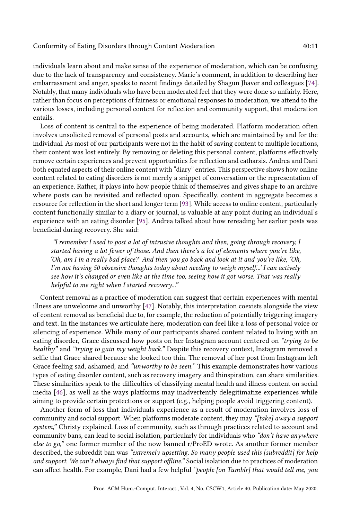individuals learn about and make sense of the experience of moderation, which can be confusing due to the lack of transparency and consistency. Marie's comment, in addition to describing her embarrassment and anger, speaks to recent findings detailed by Shagun Jhaver and colleagues [\[74\]](#page-24-2). Notably, that many individuals who have been moderated feel that they were done so unfairly. Here, rather than focus on perceptions of fairness or emotional responses to moderation, we attend to the various losses, including personal content for reflection and community support, that moderation entails.

Loss of content is central to the experience of being moderated. Platform moderation often involves unsolicited removal of personal posts and accounts, which are maintained by and for the individual. As most of our participants were not in the habit of saving content to multiple locations, their content was lost entirely. By removing or deleting this personal content, platforms effectively remove certain experiences and prevent opportunities for reflection and catharsis. Andrea and Dani both equated aspects of their online content with "diary" entries. This perspective shows how online content related to eating disorders is not merely a snippet of conversation or the representation of an experience. Rather, it plays into how people think of themselves and gives shape to an archive where posts can be revisited and reflected upon. Specifically, content in aggregate becomes a resource for reflection in the short and longer term [\[93\]](#page-24-19). While access to online content, particularly content functionally similar to a diary or journal, is valuable at any point during an individual's experience with an eating disorder [\[95\]](#page-25-14), Andrea talked about how rereading her earlier posts was beneficial during recovery. She said:

"I remember I used to post a lot of intrusive thoughts and then, going through recovery, I started having a lot fewer of those. And then there's a lot of elements where you're like, 'Oh, am I in a really bad place?' And then you go back and look at it and you're like, 'Oh, I'm not having 50 obsessive thoughts today about needing to weigh myself...' I can actively see how it's changed or even like at the time too, seeing how it got worse. That was really helpful to me right when I started recovery..."

Content removal as a practice of moderation can suggest that certain experiences with mental illness are unwelcome and unworthy [\[47\]](#page-23-9). Notably, this interpretation coexists alongside the view of content removal as beneficial due to, for example, the reduction of potentially triggering imagery and text. In the instances we articulate here, moderation can feel like a loss of personal voice or silencing of experience. While many of our participants shared content related to living with an eating disorder, Grace discussed how posts on her Instagram account centered on "trying to be healthy" and "trying to gain my weight back." Despite this recovery context, Instagram removed a selfie that Grace shared because she looked too thin. The removal of her post from Instagram left Grace feeling sad, ashamed, and "unworthy to be seen." This example demonstrates how various types of eating disorder content, such as recovery imagery and thinspiration, can share similarities. These similarities speak to the difficulties of classifying mental health and illness content on social media [\[46\]](#page-23-17), as well as the ways platforms may inadvertently delegitimatize experiences while aiming to provide certain protections or support (e.g., helping people avoid triggering content).

Another form of loss that individuals experience as a result of moderation involves loss of community and social support. When platforms moderate content, they may "[take] away a support system," Christy explained. Loss of community, such as through practices related to account and community bans, can lead to social isolation, particularly for individuals who "don't have anywhere else to go," one former member of the now banned r/ProED wrote. As another former member described, the subreddit ban was "extremely upsetting. So many people used this [subreddit] for help and support. We can't always find that support offline." Social isolation due to practices of moderation can affect health. For example, Dani had a few helpful "people [on Tumblr] that would tell me, you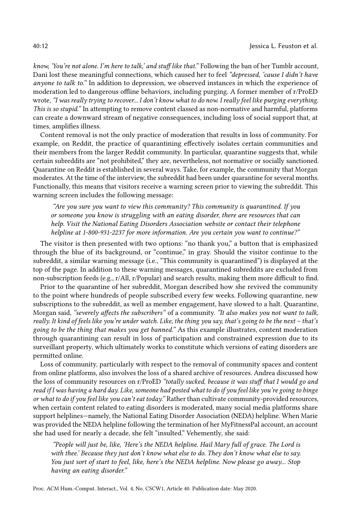know, 'You're not alone. I'm here to talk,' and stuff like that." Following the ban of her Tumblr account, Dani lost these meaningful connections, which caused her to feel "depressed, 'cause I didn't have anyone to talk to." In addition to depression, we observed instances in which the experience of moderation led to dangerous offline behaviors, including purging. A former member of r/ProED wrote, "I was really trying to recover... I don't know what to do now. I really feel like purging everything. This is so stupid." In attempting to remove content classed as non-normative and harmful, platforms can create a downward stream of negative consequences, including loss of social support that, at times, amplifies illness.

Content removal is not the only practice of moderation that results in loss of community. For example, on Reddit, the practice of quarantining effectively isolates certain communities and their members from the larger Reddit community. In particular, quarantine suggests that, while certain subreddits are "not prohibited," they are, nevertheless, not normative or socially sanctioned. Quarantine on Reddit is established in several ways. Take, for example, the community that Morgan moderates. At the time of the interview, the subreddit had been under quarantine for several months. Functionally, this means that visitors receive a warning screen prior to viewing the subreddit. This warning screen includes the following message:

"Are you sure you want to view this community? This community is quarantined. If you or someone you know is struggling with an eating disorder, there are resources that can help. Visit the National Eating Disorders Association website or contact their telephone helpline at 1-800-931-2237 for more information. Are you certain you want to continue?"

The visitor is then presented with two options: "no thank you," a button that is emphasized through the blue of its background, or "continue," in gray. Should the visitor continue to the subreddit, a similar warning message (i.e., "This community is quarantined") is displayed at the top of the page. In addition to these warning messages, quarantined subreddits are excluded from non-subscription feeds (e.g., r/All, r/Popular) and search results, making them more difficult to find.

Prior to the quarantine of her subreddit, Morgan described how she revived the community to the point where hundreds of people subscribed every few weeks. Following quarantine, new subscriptions to the subreddit, as well as member engagement, have slowed to a halt. Quarantine, Morgan said, "severely affects the subscribers" of a community. "It also makes you not want to talk, really. It kind of feels like you're under watch. Like, the thing you say, that's going to be the next – that's going to be the thing that makes you get banned." As this example illustrates, content moderation through quarantining can result in loss of participation and constrained expression due to its surveillant property, which ultimately works to constitute which versions of eating disorders are permitted online.

Loss of community, particularly with respect to the removal of community spaces and content from online platforms, also involves the loss of a shared archive of resources. Andrea discussed how the loss of community resources on r/ProED "totally sucked, because it was stuff that I would go and read if I was having a hard day. Like, someone had posted what to do if you feel like you're going to binge or what to do if you feel like you can't eat today." Rather than cultivate community-provided resources, when certain content related to eating disorders is moderated, many social media platforms share support helplines—namely, the National Eating Disorder Association (NEDA) helpline. When Marie was provided the NEDA helpline following the termination of her MyFitnessPal account, an account she had used for nearly a decade, she felt "insulted." Vehemently, she said:

"People will just be, like, 'Here's the NEDA helpline. Hail Mary full of grace. The Lord is with thee.' Because they just don't know what else to do. They don't know what else to say. You just sort of start to feel, like, here's the NEDA helpline. Now please go away... Stop having an eating disorder."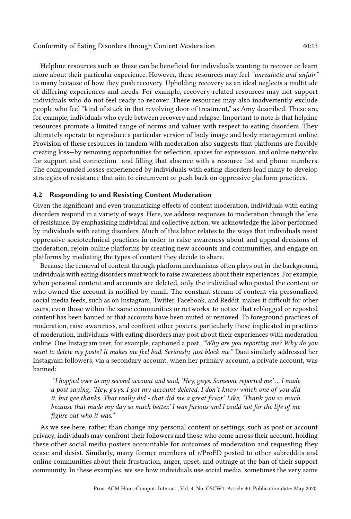Helpline resources such as these can be beneficial for individuals wanting to recover or learn more about their particular experience. However, these resources may feel "unrealistic and unfair" to many because of how they push recovery. Upholding recovery as an ideal neglects a multitude of differing experiences and needs. For example, recovery-related resources may not support individuals who do not feel ready to recover. These resources may also inadvertently exclude people who feel "kind of stuck in that revolving door of treatment," as Amy described. These are, for example, individuals who cycle between recovery and relapse. Important to note is that helpline resources promote a limited range of norms and values with respect to eating disorders. They ultimately operate to reproduce a particular version of body image and body management online. Provision of these resources in tandem with moderation also suggests that platforms are forcibly creating loss—by removing opportunities for reflection, spaces for expression, and online networks for support and connection—and filling that absence with a resource list and phone numbers. The compounded losses experienced by individuals with eating disorders lead many to develop strategies of resistance that aim to circumvent or push back on oppressive platform practices.

#### 4.2 Responding to and Resisting Content Moderation

Given the significant and even traumatizing effects of content moderation, individuals with eating disorders respond in a variety of ways. Here, we address responses to moderation through the lens of resistance. By emphasizing individual and collective action, we acknowledge the labor performed by individuals with eating disorders. Much of this labor relates to the ways that individuals resist oppressive sociotechnical practices in order to raise awareness about and appeal decisions of moderation, rejoin online platforms by creating new accounts and communities, and engage on platforms by mediating the types of content they decide to share.

Because the removal of content through platform mechanisms often plays out in the background, individuals with eating disorders must work to raise awareness about their experiences. For example, when personal content and accounts are deleted, only the individual who posted the content or who owned the account is notified by email. The constant stream of content via personalized social media feeds, such as on Instagram, Twitter, Facebook, and Reddit, makes it difficult for other users, even those within the same communities or networks, to notice that reblogged or reposted content has been banned or that accounts have been muted or removed. To foreground practices of moderation, raise awareness, and confront other posters, particularly those implicated in practices of moderation, individuals with eating disorders may post about their experiences with moderation online. One Instagram user, for example, captioned a post, "Why are you reporting me? Why do you want to delete my posts? It makes me feel bad. Seriously, just block me." Dani similarly addressed her Instagram followers, via a secondary account, when her primary account, a private account, was banned:

"I hopped over to my second account and said, 'Hey, guys. Someone reported me' ... I made a post saying, 'Hey, guys. I got my account deleted. I don't know which one of you did it, but gee thanks. That really did - that did me a great favor.' Like, 'Thank you so much because that made my day so much better.' I was furious and I could not for the life of me figure out who it was."

As we see here, rather than change any personal content or settings, such as post or account privacy, individuals may confront their followers and those who come across their account, holding these other social media posters accountable for outcomes of moderation and requesting they cease and desist. Similarly, many former members of r/ProED posted to other subreddits and online communities about their frustration, anger, upset, and outrage at the ban of their support community. In these examples, we see how individuals use social media, sometimes the very same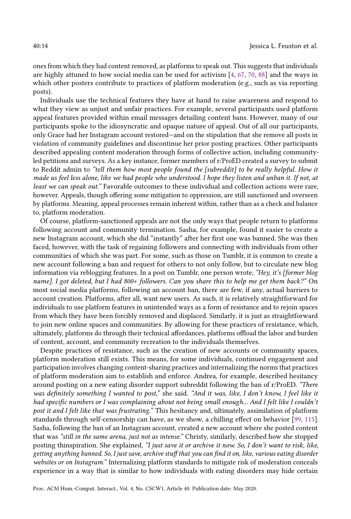ones from which they had content removed, as platforms to speak out. This suggests that individuals are highly attuned to how social media can be used for activism [\[4,](#page-21-15) [67,](#page-23-18) [70,](#page-23-19) [88\]](#page-24-20) and the ways in which other posters contribute to practices of platform moderation (e.g., such as via reporting posts).

Individuals use the technical features they have at hand to raise awareness and respond to what they view as unjust and unfair practices. For example, several participants used platform appeal features provided within email messages detailing content bans. However, many of our participants spoke to the idiosyncratic and opaque nature of appeal. Out of all our participants, only Grace had her Instagram account restored—and on the stipulation that she remove all posts in violation of community guidelines and discontinue her prior posting practices. Other participants described appealing content moderation through forms of collective action, including communityled petitions and surveys. As a key instance, former members of r/ProED created a survey to submit to Reddit admin to "tell them how most people found the [subreddit] to be really helpful. How it made us feel less alone, like we had people who understood. I hope they listen and unban it. If not, at least we can speak out." Favorable outcomes to these individual and collection actions were rare, however. Appeals, though offering some mitigation to oppression, are still sanctioned and overseen by platforms. Meaning, appeal processes remain inherent within, rather than as a check and balance to, platform moderation.

Of course, platform-sanctioned appeals are not the only ways that people return to platforms following account and community termination. Sasha, for example, found it easier to create a new Instagram account, which she did "instantly" after her first one was banned. She was then faced, however, with the task of regaining followers and connecting with individuals from other communities of which she was part. For some, such as those on Tumblr, it is common to create a new account following a ban and request for others to not only follow, but to circulate new blog information via reblogging features. In a post on Tumblr, one person wrote, "Hey, it's [former blog name]. I got deleted, but I had 800+ followers. Can you share this to help me get them back?" On most social media platforms, following an account ban, there are few, if any, actual barriers to account creation. Platforms, after all, want new users. As such, it is relatively straightforward for individuals to use platform features in unintended ways as a form of resistance and to rejoin spaces from which they have been forcibly removed and displaced. Similarly, it is just as straightforward to join new online spaces and communities. By allowing for these practices of resistance, which, ultimately, platforms do through their technical affordances, platforms offload the labor and burden of content, account, and community recreation to the individuals themselves.

Despite practices of resistance, such as the creation of new accounts or community spaces, platform moderation still exists. This means, for some individuals, continued engagement and participation involves changing content-sharing practices and internalizing the norms that practices of platform moderation aim to establish and enforce. Andrea, for example, described hesitancy around posting on a new eating disorder support subreddit following the ban of r/ProED. "There was definitely something I wanted to post," she said. "And it was, like, I don't know, I feel like it had specific numbers or I was complaining about not being small enough... And I felt like I couldn't post it and I felt like that was frustrating." This hesitancy and, ultimately, assimilation of platform standards through self-censorship can have, as we show, a chilling effect on behavior [\[99,](#page-25-15) [115\]](#page-25-16). Sasha, following the ban of an Instagram account, created a new account where she posted content that was "still in the same arena, just not as intense." Christy, similarly, described how she stopped posting thinspiration. She explained, "I just save it or archive it now. So, I don't want to risk, like, getting anything banned. So, I just save, archive stuff that you can find it on, like, various eating disorder websites or on Instagram." Internalizing platform standards to mitigate risk of moderation conceals experience in a way that is similar to how individuals with eating disorders may hide certain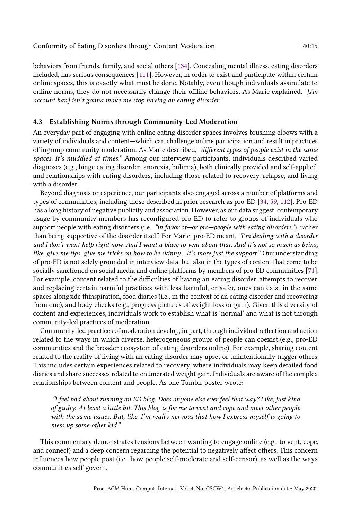behaviors from friends, family, and social others [\[134\]](#page-26-17). Concealing mental illness, eating disorders included, has serious consequences [\[111\]](#page-25-17). However, in order to exist and participate within certain online spaces, this is exactly what must be done. Notably, even though individuals assimilate to online norms, they do not necessarily change their offline behaviors. As Marie explained, " $An$ account ban] isn't gonna make me stop having an eating disorder."

## 4.3 Establishing Norms through Community-Led Moderation

An everyday part of engaging with online eating disorder spaces involves brushing elbows with a variety of individuals and content—which can challenge online participation and result in practices of ingroup community moderation. As Marie described, "different types of people exist in the same spaces. It's muddled at times." Among our interview participants, individuals described varied diagnoses (e.g., binge eating disorder, anorexia, bulimia), both clinically provided and self-applied, and relationships with eating disorders, including those related to recovery, relapse, and living with a disorder.

Beyond diagnosis or experience, our participants also engaged across a number of platforms and types of communities, including those described in prior research as pro-ED [\[34,](#page-22-9) [59,](#page-23-10) [112\]](#page-25-6). Pro-ED has a long history of negative publicity and association. However, as our data suggest, contemporary usage by community members has reconfigured pro-ED to refer to groups of individuals who support people with eating disorders (i.e., "in favor of—or pro—people with eating disorders"), rather than being supportive of the disorder itself. For Marie, pro-ED meant, "I'm dealing with a disorder and I don't want help right now. And I want a place to vent about that. And it's not so much as being, like, give me tips, give me tricks on how to be skinny... It's more just the support." Our understanding of pro-ED is not solely grounded in interview data, but also in the types of content that come to be socially sanctioned on social media and online platforms by members of pro-ED communities [\[71\]](#page-24-21). For example, content related to the difficulties of having an eating disorder, attempts to recover, and replacing certain harmful practices with less harmful, or safer, ones can exist in the same spaces alongside thinspiration, food diaries (i.e., in the context of an eating disorder and recovering from one), and body checks (e.g., progress pictures of weight loss or gain). Given this diversity of content and experiences, individuals work to establish what is 'normal' and what is not through community-led practices of moderation.

Community-led practices of moderation develop, in part, through individual reflection and action related to the ways in which diverse, heterogeneous groups of people can coexist (e.g., pro-ED communities and the broader ecosystem of eating disorders online). For example, sharing content related to the reality of living with an eating disorder may upset or unintentionally trigger others. This includes certain experiences related to recovery, where individuals may keep detailed food diaries and share successes related to enumerated weight gain. Individuals are aware of the complex relationships between content and people. As one Tumblr poster wrote:

"I feel bad about running an ED blog. Does anyone else ever feel that way? Like, just kind of guilty. At least a little bit. This blog is for me to vent and cope and meet other people with the same issues. But, like. I'm really nervous that how I express myself is going to mess up some other kid."

This commentary demonstrates tensions between wanting to engage online (e.g., to vent, cope, and connect) and a deep concern regarding the potential to negatively affect others. This concern influences how people post (i.e., how people self-moderate and self-censor), as well as the ways communities self-govern.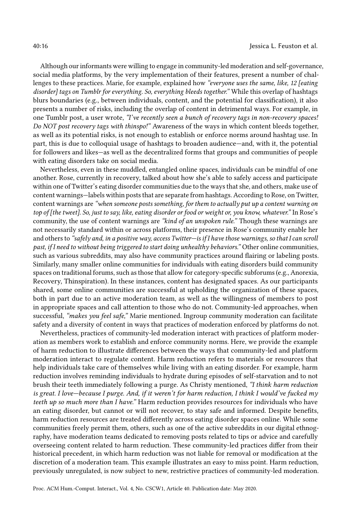Although our informants were willing to engage in community-led moderation and self-governance, social media platforms, by the very implementation of their features, present a number of challenges to these practices. Marie, for example, explained how "everyone uses the same, like, 12 [eating disorder] tags on Tumblr for everything. So, everything bleeds together." While this overlap of hashtags blurs boundaries (e.g., between individuals, content, and the potential for classification), it also presents a number of risks, including the overlap of content in detrimental ways. For example, in one Tumblr post, a user wrote, "I've recently seen a bunch of recovery tags in non-recovery spaces! Do NOT post recovery tags with thinspo!" Awareness of the ways in which content bleeds together, as well as its potential risks, is not enough to establish or enforce norms around hashtag use. In part, this is due to colloquial usage of hashtags to broaden audience—and, with it, the potential for followers and likes—as well as the decentralized forms that groups and communities of people with eating disorders take on social media.

Nevertheless, even in these muddled, entangled online spaces, individuals can be mindful of one another. Rose, currently in recovery, talked about how she's able to safely access and participate within one of Twitter's eating disorder communities due to the ways that she, and others, make use of content warnings—labels within posts that are separate from hashtags. According to Rose, on Twitter, content warnings are "when someone posts something, for them to actually put up a content warning on top of [the tweet]. So, just to say, like, eating disorder or food or weight or, you know, whatever." In Rose's community, the use of content warnings are "kind of an unspoken rule." Though these warnings are not necessarily standard within or across platforms, their presence in Rose's community enable her and others to "safely and, in a positive way, access Twitter—is if I have those warnings, so that I can scroll past, if I need to without being triggered to start doing unhealthy behaviors." Other online communities, such as various subreddits, may also have community practices around flairing or labeling posts. Similarly, many smaller online communities for individuals with eating disorders build community spaces on traditional forums, such as those that allow for category-specific subforums (e.g., Anorexia, Recovery, Thinspiration). In these instances, content has designated spaces. As our participants shared, some online communities are successful at upholding the organization of these spaces, both in part due to an active moderation team, as well as the willingness of members to post in appropriate spaces and call attention to those who do not. Community-led approaches, when successful, "makes you feel safe," Marie mentioned. Ingroup community moderation can facilitate safety and a diversity of content in ways that practices of moderation enforced by platforms do not.

Nevertheless, practices of community-led moderation interact with practices of platform moderation as members work to establish and enforce community norms. Here, we provide the example of harm reduction to illustrate differences between the ways that community-led and platform moderation interact to regulate content. Harm reduction refers to materials or resources that help individuals take care of themselves while living with an eating disorder. For example, harm reduction involves reminding individuals to hydrate during episodes of self-starvation and to not brush their teeth immediately following a purge. As Christy mentioned, "I think harm reduction is great. I love—because I purge. And, if it weren't for harm reduction, I think I would've fucked my teeth up so much more than I have." Harm reduction provides resources for individuals who have an eating disorder, but cannot or will not recover, to stay safe and informed. Despite benefits, harm reduction resources are treated differently across eating disorder spaces online. While some communities freely permit them, others, such as one of the active subreddits in our digital ethnography, have moderation teams dedicated to removing posts related to tips or advice and carefully overseeing content related to harm reduction. These community-led practices differ from their historical precedent, in which harm reduction was not liable for removal or modification at the discretion of a moderation team. This example illustrates an easy to miss point. Harm reduction, previously unregulated, is now subject to new, restrictive practices of community-led moderation.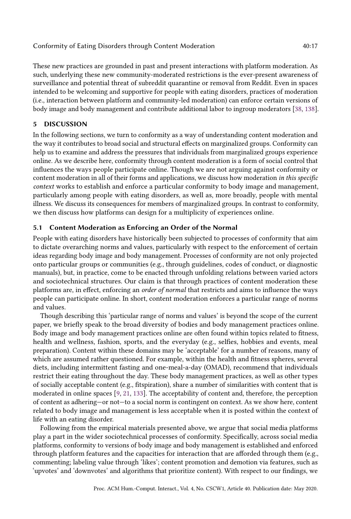These new practices are grounded in past and present interactions with platform moderation. As such, underlying these new community-moderated restrictions is the ever-present awareness of surveillance and potential threat of subreddit quarantine or removal from Reddit. Even in spaces intended to be welcoming and supportive for people with eating disorders, practices of moderation (i.e., interaction between platform and community-led moderation) can enforce certain versions of body image and body management and contribute additional labor to ingroup moderators [\[38,](#page-22-20) [138\]](#page-26-18).

# 5 DISCUSSION

In the following sections, we turn to conformity as a way of understanding content moderation and the way it contributes to broad social and structural effects on marginalized groups. Conformity can help us to examine and address the pressures that individuals from marginalized groups experience online. As we describe here, conformity through content moderation is a form of social control that influences the ways people participate online. Though we are not arguing against conformity or content moderation in all of their forms and applications, we discuss how moderation in this specific context works to establish and enforce a particular conformity to body image and management, particularly among people with eating disorders, as well as, more broadly, people with mental illness. We discuss its consequences for members of marginalized groups. In contrast to conformity, we then discuss how platforms can design for a multiplicity of experiences online.

# 5.1 Content Moderation as Enforcing an Order of the Normal

People with eating disorders have historically been subjected to processes of conformity that aim to dictate overarching norms and values, particularly with respect to the enforcement of certain ideas regarding body image and body management. Processes of conformity are not only projected onto particular groups or communities (e.g., through guidelines, codes of conduct, or diagnostic manuals), but, in practice, come to be enacted through unfolding relations between varied actors and sociotechnical structures. Our claim is that through practices of content moderation these platforms are, in effect, enforcing an order of normal that restricts and aims to influence the ways people can participate online. In short, content moderation enforces a particular range of norms and values.

Though describing this 'particular range of norms and values' is beyond the scope of the current paper, we briefly speak to the broad diversity of bodies and body management practices online. Body image and body management practices online are often found within topics related to fitness, health and wellness, fashion, sports, and the everyday (e.g., selfies, hobbies and events, meal preparation). Content within these domains may be 'acceptable' for a number of reasons, many of which are assumed rather questioned. For example, within the health and fitness spheres, several diets, including intermittent fasting and one-meal-a-day (OMAD), recommend that individuals restrict their eating throughout the day. These body management practices, as well as other types of socially acceptable content (e.g., fitspiration), share a number of similarities with content that is moderated in online spaces [\[9,](#page-21-16) [21,](#page-21-17) [133\]](#page-26-19). The acceptability of content and, therefore, the perception of content as adhering—or not—to a social norm is contingent on context. As we show here, content related to body image and management is less acceptable when it is posted within the context of life with an eating disorder.

Following from the empirical materials presented above, we argue that social media platforms play a part in the wider sociotechnical processes of conformity. Specifically, across social media platforms, conformity to versions of body image and body management is established and enforced through platform features and the capacities for interaction that are afforded through them (e.g., commenting; labeling value through 'likes'; content promotion and demotion via features, such as 'upvotes' and 'downvotes' and algorithms that prioritize content). With respect to our findings, we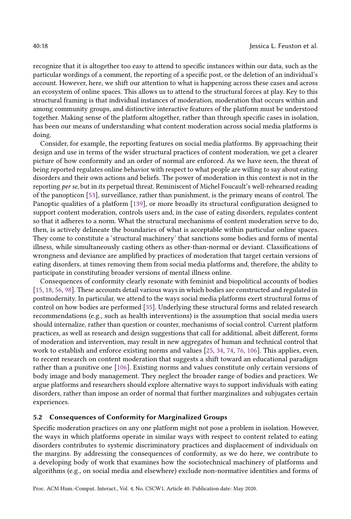recognize that it is altogether too easy to attend to specific instances within our data, such as the particular wordings of a comment, the reporting of a specific post, or the deletion of an individual's account. However, here, we shift our attention to what is happening across these cases and across an ecosystem of online spaces. This allows us to attend to the structural forces at play. Key to this structural framing is that individual instances of moderation, moderation that occurs within and among community groups, and distinctive interactive features of the platform must be understood together. Making sense of the platform altogether, rather than through specific cases in isolation, has been our means of understanding what content moderation across social media platforms is doing.

Consider, for example, the reporting features on social media platforms. By approaching their design and use in terms of the wider structural practices of content moderation, we get a clearer picture of how conformity and an order of normal are enforced. As we have seen, the threat of being reported regulates online behavior with respect to what people are willing to say about eating disorders and their own actions and beliefs. The power of moderation in this context is not in the reporting per se, but in its perpetual threat. Reminiscent of Michel Foucault's well-rehearsed reading of the panopticon [\[53\]](#page-23-20), surveillance, rather than punishment, is the primary means of control. The Panoptic qualities of a platform [\[139\]](#page-26-20), or more broadly its structural configuration designed to support content moderation, controls users and, in the case of eating disorders, regulates content so that it adheres to a norm. What the structural mechanisms of content moderation serve to do, then, is actively delineate the boundaries of what is acceptable within particular online spaces. They come to constitute a 'structural machinery' that sanctions some bodies and forms of mental illness, while simultaneously casting others as other-than-normal or deviant. Classifications of wrongness and deviance are amplified by practices of moderation that target certain versions of eating disorders, at times removing them from social media platforms and, therefore, the ability to participate in constituting broader versions of mental illness online.

Consequences of conformity clearly resonate with feminist and biopolitical accounts of bodies [\[15,](#page-21-18) [18,](#page-21-19) [56,](#page-23-21) [98\]](#page-25-18). These accounts detail various ways in which bodies are constructed and regulated in postmodernity. In particular, we attend to the ways social media platforms exert structural forms of control on how bodies are performed [\[35\]](#page-22-21). Underlying these structural forms and related research recommendations (e.g., such as health interventions) is the assumption that social media users should internalize, rather than question or counter, mechanisms of social control. Current platform practices, as well as research and design suggestions that call for additional, albeit different, forms of moderation and intervention, may result in new aggregates of human and technical control that work to establish and enforce existing norms and values [\[25,](#page-22-4) [34,](#page-22-9) [74,](#page-24-2) [76,](#page-24-3) [106\]](#page-25-3). This applies, even, to recent research on content moderation that suggests a shift toward an educational paradigm rather than a punitive one [\[106\]](#page-25-3). Existing norms and values constitute only certain versions of body image and body management. They neglect the broader range of bodies and practices. We argue platforms and researchers should explore alternative ways to support individuals with eating disorders, rather than impose an order of normal that further marginalizes and subjugates certain experiences.

## 5.2 Consequences of Conformity for Marginalized Groups

Specific moderation practices on any one platform might not pose a problem in isolation. However, the ways in which platforms operate in similar ways with respect to content related to eating disorders contributes to systemic discriminatory practices and displacement of individuals on the margins. By addressing the consequences of conformity, as we do here, we contribute to a developing body of work that examines how the sociotechnical machinery of platforms and algorithms (e.g., on social media and elsewhere) exclude non-normative identities and forms of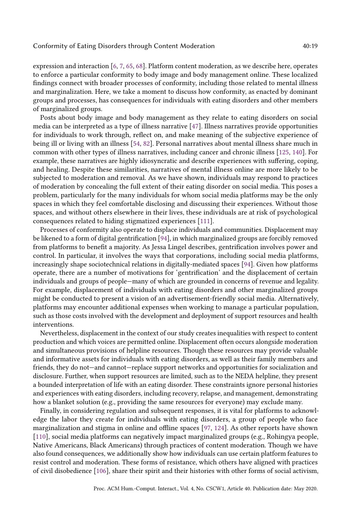expression and interaction [\[6,](#page-21-20) [7,](#page-21-21) [65,](#page-23-22) [68\]](#page-23-23). Platform content moderation, as we describe here, operates to enforce a particular conformity to body image and body management online. These localized findings connect with broader processes of conformity, including those related to mental illness and marginalization. Here, we take a moment to discuss how conformity, as enacted by dominant groups and processes, has consequences for individuals with eating disorders and other members of marginalized groups.

Posts about body image and body management as they relate to eating disorders on social media can be interpreted as a type of illness narrative [\[47\]](#page-23-9). Illness narratives provide opportunities for individuals to work through, reflect on, and make meaning of the subjective experience of being ill or living with an illness [\[54,](#page-23-24) [82\]](#page-24-22). Personal narratives about mental illness share much in common with other types of illness narratives, including cancer and chronic illness [\[125,](#page-26-21) [140\]](#page-26-22). For example, these narratives are highly idiosyncratic and describe experiences with suffering, coping, and healing. Despite these similarities, narratives of mental illness online are more likely to be subjected to moderation and removal. As we have shown, individuals may respond to practices of moderation by concealing the full extent of their eating disorder on social media. This poses a problem, particularly for the many individuals for whom social media platforms may be the only spaces in which they feel comfortable disclosing and discussing their experiences. Without those spaces, and without others elsewhere in their lives, these individuals are at risk of psychological consequences related to hiding stigmatized experiences [\[111\]](#page-25-17).

Processes of conformity also operate to displace individuals and communities. Displacement may be likened to a form of digital gentrification [\[94\]](#page-25-19), in which marginalized groups are forcibly removed from platforms to benefit a majority. As Jessa Lingel describes, gentrification involves power and control. In particular, it involves the ways that corporations, including social media platforms, increasingly shape sociotechnical relations in digitally-mediated spaces [\[94\]](#page-25-19). Given how platforms operate, there are a number of motivations for 'gentrification' and the displacement of certain individuals and groups of people—many of which are grounded in concerns of revenue and legality. For example, displacement of individuals with eating disorders and other marginalized groups might be conducted to present a vision of an advertisement-friendly social media. Alternatively, platforms may encounter additional expenses when working to manage a particular population, such as those costs involved with the development and deployment of support resources and health interventions.

Nevertheless, displacement in the context of our study creates inequalities with respect to content production and which voices are permitted online. Displacement often occurs alongside moderation and simultaneous provisions of helpline resources. Though these resources may provide valuable and informative assets for individuals with eating disorders, as well as their family members and friends, they do not—and cannot—replace support networks and opportunities for socialization and disclosure. Further, when support resources are limited, such as to the NEDA helpline, they present a bounded interpretation of life with an eating disorder. These constraints ignore personal histories and experiences with eating disorders, including recovery, relapse, and management, demonstrating how a blanket solution (e.g., providing the same resources for everyone) may exclude many.

Finally, in considering regulation and subsequent responses, it is vital for platforms to acknowledge the labor they create for individuals with eating disorders, a group of people who face marginalization and stigma in online and offline spaces [\[97,](#page-25-20) [124\]](#page-26-23). As other reports have shown [\[110\]](#page-25-21), social media platforms can negatively impact marginalized groups (e.g., Rohingya people, Native Americans, Black Americans) through practices of content moderation. Though we have also found consequences, we additionally show how individuals can use certain platform features to resist control and moderation. These forms of resistance, which others have aligned with practices of civil disobedience [\[106\]](#page-25-3), share their spirit and their histories with other forms of social activism,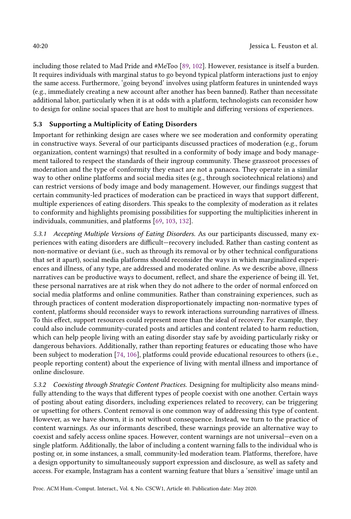including those related to Mad Pride and #MeToo [\[89,](#page-24-12) [102\]](#page-25-22). However, resistance is itself a burden. It requires individuals with marginal status to go beyond typical platform interactions just to enjoy the same access. Furthermore, 'going beyond' involves using platform features in unintended ways (e.g., immediately creating a new account after another has been banned). Rather than necessitate additional labor, particularly when it is at odds with a platform, technologists can reconsider how to design for online social spaces that are host to multiple and differing versions of experiences.

# 5.3 Supporting a Multiplicity of Eating Disorders

Important for rethinking design are cases where we see moderation and conformity operating in constructive ways. Several of our participants discussed practices of moderation (e.g., forum organization, content warnings) that resulted in a conformity of body image and body management tailored to respect the standards of their ingroup community. These grassroot processes of moderation and the type of conformity they enact are not a panacea. They operate in a similar way to other online platforms and social media sites (e.g., through sociotechnical relations) and can restrict versions of body image and body management. However, our findings suggest that certain community-led practices of moderation can be practiced in ways that support different, multiple experiences of eating disorders. This speaks to the complexity of moderation as it relates to conformity and highlights promising possibilities for supporting the multiplicities inherent in individuals, communities, and platforms [\[69,](#page-23-5) [103,](#page-25-4) [132\]](#page-26-5).

5.3.1 Accepting Multiple Versions of Eating Disorders. As our participants discussed, many experiences with eating disorders are difficult—recovery included. Rather than casting content as non-normative or deviant (i.e., such as through its removal or by other technical configurations that set it apart), social media platforms should reconsider the ways in which marginalized experiences and illness, of any type, are addressed and moderated online. As we describe above, illness narratives can be productive ways to document, reflect, and share the experience of being ill. Yet, these personal narratives are at risk when they do not adhere to the order of normal enforced on social media platforms and online communities. Rather than constraining experiences, such as through practices of content moderation disproportionately impacting non-normative types of content, platforms should reconsider ways to rework interactions surrounding narratives of illness. To this effect, support resources could represent more than the ideal of recovery. For example, they could also include community-curated posts and articles and content related to harm reduction, which can help people living with an eating disorder stay safe by avoiding particularly risky or dangerous behaviors. Additionally, rather than reporting features or educating those who have been subject to moderation [\[74,](#page-24-2) [106\]](#page-25-3), platforms could provide educational resources to others (i.e., people reporting content) about the experience of living with mental illness and importance of online disclosure.

5.3.2 Coexisting through Strategic Content Practices. Designing for multiplicity also means mindfully attending to the ways that different types of people coexist with one another. Certain ways of posting about eating disorders, including experiences related to recovery, can be triggering or upsetting for others. Content removal is one common way of addressing this type of content. However, as we have shown, it is not without consequence. Instead, we turn to the practice of content warnings. As our informants described, these warnings provide an alternative way to coexist and safely access online spaces. However, content warnings are not universal—even on a single platform. Additionally, the labor of including a content warning falls to the individual who is posting or, in some instances, a small, community-led moderation team. Platforms, therefore, have a design opportunity to simultaneously support expression and disclosure, as well as safety and access. For example, Instagram has a content warning feature that blurs a 'sensitive' image until an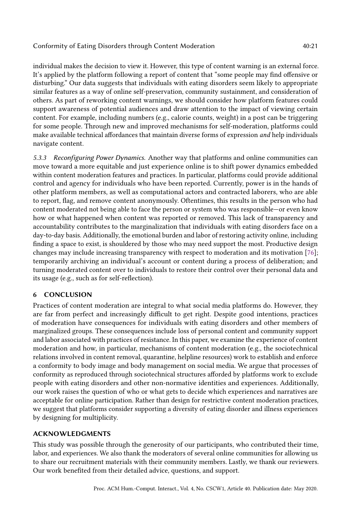individual makes the decision to view it. However, this type of content warning is an external force. It's applied by the platform following a report of content that "some people may find offensive or disturbing." Our data suggests that individuals with eating disorders seem likely to appropriate similar features as a way of online self-preservation, community sustainment, and consideration of others. As part of reworking content warnings, we should consider how platform features could support awareness of potential audiences and draw attention to the impact of viewing certain content. For example, including numbers (e.g., calorie counts, weight) in a post can be triggering for some people. Through new and improved mechanisms for self-moderation, platforms could make available technical affordances that maintain diverse forms of expression and help individuals navigate content.

5.3.3 Reconfiguring Power Dynamics. Another way that platforms and online communities can move toward a more equitable and just experience online is to shift power dynamics embedded within content moderation features and practices. In particular, platforms could provide additional control and agency for individuals who have been reported. Currently, power is in the hands of other platform members, as well as computational actors and contracted laborers, who are able to report, flag, and remove content anonymously. Oftentimes, this results in the person who had content moderated not being able to face the person or system who was responsible—or even know how or what happened when content was reported or removed. This lack of transparency and accountability contributes to the marginalization that individuals with eating disorders face on a day-to-day basis. Additionally, the emotional burden and labor of restoring activity online, including finding a space to exist, is shouldered by those who may need support the most. Productive design changes may include increasing transparency with respect to moderation and its motivation [\[76\]](#page-24-3); temporarily archiving an individual's account or content during a process of deliberation; and turning moderated content over to individuals to restore their control over their personal data and its usage (e.g., such as for self-reflection).

# 6 CONCLUSION

Practices of content moderation are integral to what social media platforms do. However, they are far from perfect and increasingly difficult to get right. Despite good intentions, practices of moderation have consequences for individuals with eating disorders and other members of marginalized groups. These consequences include loss of personal content and community support and labor associated with practices of resistance. In this paper, we examine the experience of content moderation and how, in particular, mechanisms of content moderation (e.g., the sociotechnical relations involved in content removal, quarantine, helpline resources) work to establish and enforce a conformity to body image and body management on social media. We argue that processes of conformity as reproduced through sociotechnical structures afforded by platforms work to exclude people with eating disorders and other non-normative identities and experiences. Additionally, our work raises the question of who or what gets to decide which experiences and narratives are acceptable for online participation. Rather than design for restrictive content moderation practices, we suggest that platforms consider supporting a diversity of eating disorder and illness experiences by designing for multiplicity.

# ACKNOWLEDGMENTS

This study was possible through the generosity of our participants, who contributed their time, labor, and experiences. We also thank the moderators of several online communities for allowing us to share our recruitment materials with their community members. Lastly, we thank our reviewers. Our work benefited from their detailed advice, questions, and support.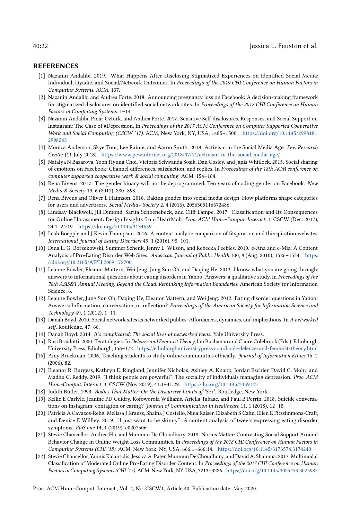#### 40:22 **Jessica L. Feuston et al.**

#### REFERENCES

- <span id="page-21-0"></span>[1] Nazanin Andalibi. 2019. What Happens After Disclosing Stigmatized Experiences on Identified Social Media: Individual, Dyadic, and Social/Network Outcomes. In Proceedings of the 2019 CHI Conference on Human Factors in Computing Systems. ACM, 137.
- <span id="page-21-9"></span>[2] Nazanin Andalibi and Andrea Forte. 2018. Announcing pregnancy loss on Facebook: A decision-making framework for stigmatized disclosures on identified social network sites. In Proceedings of the 2018 CHI Conference on Human Factors in Computing Systems. 1–14.
- <span id="page-21-10"></span>[3] Nazanin Andalibi, Pinar Ozturk, and Andrea Forte. 2017. Sensitive Self-disclosures, Responses, and Social Support on Instagram: The Case of #Depression. In Proceedings of the 2017 ACM Conference on Computer Supported Cooperative Work and Social Computing (CSCW '17). ACM, New York, NY, USA, 1485–1500. [https://doi.org/10.1145/2998181.](https://doi.org/10.1145/2998181.2998243) [2998243](https://doi.org/10.1145/2998181.2998243)
- <span id="page-21-15"></span>[4] Monica Anderson, Skye Toor, Lee Rainie, and Aaron Smith. 2018. Activism in the Social Media Age. Pew Research Center (11 July 2018). <https://www.pewinternet.org/2018/07/11/activism-in-the-social-media-age/>
- <span id="page-21-1"></span>[5] Natalya N Bazarova, Yoon Hyung Choi, Victoria Schwanda Sosik, Dan Cosley, and Janis Whitlock. 2015. Social sharing of emotions on Facebook: Channel differences, satisfaction, and replies. In Proceedings of the 18th ACM conference on computer supported cooperative work & social computing. ACM, 154–164.
- <span id="page-21-20"></span>[6] Rena Bivens. 2017. The gender binary will not be deprogrammed: Ten years of coding gender on Facebook. New Media & Society 19, 6 (2017), 880–898.
- <span id="page-21-21"></span>[7] Rena Bivens and Oliver L Haimson. 2016. Baking gender into social media design: How platforms shape categories for users and advertisers. Social Media+ Society 2, 4 (2016), 2056305116672486.
- <span id="page-21-2"></span>[8] Lindsay Blackwell, Jill Dimond, Sarita Schoenebeck, and Cliff Lampe. 2017. Classification and Its Consequences for Online Harassment: Design Insights from HeartMob. Proc. ACM Hum.-Comput. Interact. 1, CSCW (Dec. 2017), 24:1–24:19. <https://doi.org/10.1145/3134659>
- <span id="page-21-16"></span>[9] Leah Boepple and J Kevin Thompson. 2016. A content analytic comparison of fitspiration and thinspiration websites. International Journal of Eating Disorders 49, 1 (2016), 98–101.
- <span id="page-21-4"></span>[10] Dina L. G. Borzekowski, Summer Schenk, Jenny L. Wilson, and Rebecka Peebles. 2010. e-Ana and e-Mia: A Content Analysis of Pro-Eating Disorder Web Sites. American Journal of Public Health 100, 8 (Aug. 2010), 1526–1534. [https:](https://doi.org/10.2105/AJPH.2009.172700) [//doi.org/10.2105/AJPH.2009.172700](https://doi.org/10.2105/AJPH.2009.172700)
- <span id="page-21-6"></span>[11] Leanne Bowler, Eleanor Mattern, Wei Jeng, Jung Sun Oh, and Daqing He. 2013. I know what you are going through: answers to informational questions about eating disorders in Yahoo! Answers: a qualitative study. In Proceedings of the 76th ASIS&T Annual Meeting: Beyond the Cloud: Rethinking Information Boundaries. American Society for Information Science, 6.
- <span id="page-21-8"></span>[12] Leanne Bowler, Jung Sun Oh, Daqing He, Eleanor Mattern, and Wei Jeng. 2012. Eating disorder questions in Yahoo! Answers: Information, conversation, or reflection? Proceedings of the American Society for Information Science and Technology 49, 1 (2012), 1–11.
- <span id="page-21-11"></span>[13] Danah Boyd. 2010. Social network sites as networked publics: Affordances, dynamics, and implications. In A networked self. Routledge, 47–66.
- <span id="page-21-12"></span>[14] Danah Boyd. 2014. It's complicated: The social lives of networked teens. Yale University Press.
- <span id="page-21-18"></span>[15] Rosi Braidotti. 2000. Teratologies. In Deleuze and Feminist Theory, Ian Buchanan and Claire Colebrook (Eds.). Edinburgh University Press, Edinburgh, 156–172. <https://edinburghuniversitypress.com/book-deleuze-and-feminist-theory.html>
- <span id="page-21-14"></span>[16] Amy Bruckman. 2006. Teaching students to study online communities ethically. Journal of Information Ethics 15, 2 (2006), 82.
- <span id="page-21-13"></span>[17] Eleanor R. Burgess, Kathryn E. Ringland, Jennifer Nicholas, Ashley A. Knapp, Jordan Eschler, David C. Mohr, and Madhu C. Reddy. 2019. "I think people are powerful": The sociality of individuals managing depression. Proc. ACM Hum.-Comput. Interact. 3, CSCW (Nov 2019), 41:1–41:29. <https://doi.org/10.1145/3359143>
- <span id="page-21-19"></span>[18] Judith Butler. 1993. Bodies That Matter: On the Discursive Limits of 'Sex'. Routledge, New York.
- <span id="page-21-7"></span>[19] Kellie E Carlyle, Jeanine PD Guidry, Kofoworola Williams, Ariella Tabaac, and Paul B Perrin. 2018. Suicide conversations on Instagram: contagion or caring? Journal of Communication in Healthcare 11, 1 (2018), 12–18.
- <span id="page-21-5"></span>[20] Patricia A Cavazos-Rehg, Melissa J Krauss, Shaina J Costello, Nina Kaiser, Elizabeth S Cahn, Ellen E Fitzsimmons-Craft, and Denise E Wilfley. 2019. "I just want to be skinny.": A content analysis of tweets expressing eating disorder symptoms. PloS one 14, 1 (2019), e0207506.
- <span id="page-21-17"></span>[21] Stevie Chancellor, Andrea Hu, and Munmun De Choudhury. 2018. Norms Matter: Contrasting Social Support Around Behavior Change in Online Weight Loss Communities. In Proceedings of the 2018 CHI Conference on Human Factors in Computing Systems (CHI '18). ACM, New York, NY, USA, 666:1–666:14. <https://doi.org/10.1145/3173574.3174240>
- <span id="page-21-3"></span>[22] Stevie Chancellor, Yannis Kalantidis, Jessica A. Pater, Munmun De Choudhury, and David A. Shamma. 2017. Multimodal Classification of Moderated Online Pro-Eating Disorder Content. In Proceedings of the 2017 CHI Conference on Human Factors in Computing Systems (CHI '17). ACM, New York, NY, USA, 3213–3226. <https://doi.org/10.1145/3025453.3025985>

Proc. ACM Hum.-Comput. Interact., Vol. 4, No. CSCW1, Article 40. Publication date: May 2020.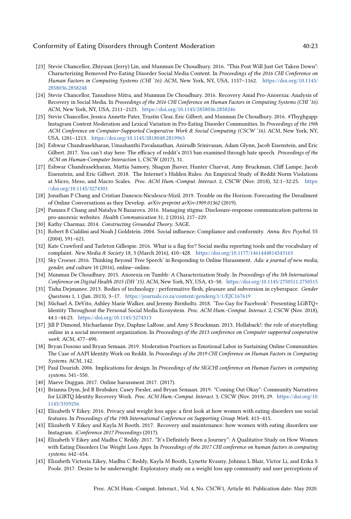- <span id="page-22-8"></span>[23] Stevie Chancellor, Zhiyuan (Jerry) Lin, and Munmun De Choudhury. 2016. "This Post Will Just Get Taken Down": Characterizing Removed Pro-Eating Disorder Social Media Content. In Proceedings of the 2016 CHI Conference on Human Factors in Computing Systems (CHI '16). ACM, New York, NY, USA, 1157–1162. [https://doi.org/10.1145/](https://doi.org/10.1145/2858036.2858248) [2858036.2858248](https://doi.org/10.1145/2858036.2858248)
- <span id="page-22-10"></span>[24] Stevie Chancellor, Tanushree Mitra, and Munmun De Choudhury. 2016. Recovery Amid Pro-Anorexia: Analysis of Recovery in Social Media. In Proceedings of the 2016 CHI Conference on Human Factors in Computing Systems (CHI '16). ACM, New York, NY, USA, 2111–2123. <https://doi.org/10.1145/2858036.2858246>
- <span id="page-22-4"></span>[25] Stevie Chancellor, Jessica Annette Pater, Trustin Clear, Eric Gilbert, and Munmun De Choudhury. 2016. #Thyghgapp: Instagram Content Moderation and Lexical Variation in Pro-Eating Disorder Communities. In Proceedings of the 19th ACM Conference on Computer-Supported Cooperative Work & Social Computing (CSCW '16). ACM, New York, NY, USA, 1201–1213. <https://doi.org/10.1145/2818048.2819963>
- <span id="page-22-0"></span>[26] Eshwar Chandrasekharan, Umashanthi Pavalanathan, Anirudh Srinivasan, Adam Glynn, Jacob Eisenstein, and Eric Gilbert. 2017. You can't stay here: The efficacy of reddit's 2015 ban examined through hate speech. Proceedings of the ACM on Human-Computer Interaction 1, CSCW (2017), 31.
- <span id="page-22-6"></span>[27] Eshwar Chandrasekharan, Mattia Samory, Shagun Jhaver, Hunter Charvat, Amy Bruckman, Cliff Lampe, Jacob Eisenstein, and Eric Gilbert. 2018. The Internet's Hidden Rules: An Empirical Study of Reddit Norm Violations at Micro, Meso, and Macro Scales. Proc. ACM Hum.-Comput. Interact. 2, CSCW (Nov. 2018), 32:1-32:25. [https:](https://doi.org/10.1145/3274301) [//doi.org/10.1145/3274301](https://doi.org/10.1145/3274301)
- <span id="page-22-1"></span>[28] Jonathan P Chang and Cristian Danescu-Niculescu-Mizil. 2019. Trouble on the Horizon: Forecasting the Derailment of Online Conversations as they Develop. arXiv preprint arXiv:1909.01362 (2019).
- <span id="page-22-13"></span>[29] Pamara F Chang and Natalya N Bazarova. 2016. Managing stigma: Disclosure-response communication patterns in pro-anorexic websites. Health Communication 31, 2 (2016), 217–229.
- <span id="page-22-3"></span>[30] Kathy Charmaz. 2014. Constructing Grounded Theory. SAGE.
- <span id="page-22-5"></span>[31] Robert B Cialdini and Noah J Goldstein. 2004. Social influence: Compliance and conformity. Annu. Rev. Psychol. 55 (2004), 591–621.
- <span id="page-22-7"></span>[32] Kate Crawford and Tarleton Gillespie. 2016. What is a flag for? Social media reporting tools and the vocabulary of complaint. New Media & Society 18, 3 (March 2016), 410–428. <https://doi.org/10.1177/1461444814543163>
- <span id="page-22-2"></span>[33] Sky Croeser. 2016. Thinking Beyond 'Free Speech' in Responding to Online Harassment. Ada: a journal of new media, gender, and culture 10 (2016), online–online.
- <span id="page-22-9"></span>[34] Munmun De Choudhury. 2015. Anorexia on Tumblr: A Characterization Study. In Proceedings of the 5th International Conference on Digital Health 2015 (DH '15). ACM, New York, NY, USA, 43–50. <https://doi.org/10.1145/2750511.2750515>
- <span id="page-22-21"></span>[35] Tisha Dejmanee. 2013. Bodies of technology : performative flesh, pleasure and subversion in cyberspace. Gender Questions 1, 1 (Jan. 2013), 3–17. <https://journals.co.za/content/genderq/1/1/EJC167619>
- <span id="page-22-15"></span>[36] Michael A. DeVito, Ashley Marie Walker, and Jeremy Birnholtz. 2018. 'Too Gay for Facebook': Presenting LGBTQ+ Identity Throughout the Personal Social Media Ecosystem. Proc. ACM Hum.-Comput. Interact. 2, CSCW (Nov. 2018), 44:1–44:23. <https://doi.org/10.1145/3274313>
- <span id="page-22-18"></span>[37] Jill P Dimond, Michaelanne Dye, Daphne LaRose, and Amy S Bruckman. 2013. Hollaback!: the role of storytelling online in a social movement organization. In Proceedings of the 2013 conference on Computer supported cooperative work. ACM, 477–490.
- <span id="page-22-20"></span>[38] Bryan Dosono and Bryan Semaan. 2019. Moderation Practices as Emotional Labor in Sustaining Online Communities: The Case of AAPI Identity Work on Reddit. In Proceedings of the 2019 CHI Conference on Human Factors in Computing Systems. ACM, 142.
- <span id="page-22-19"></span>[39] Paul Dourish. 2006. Implications for design. In Proceedings of the SIGCHI conference on Human Factors in computing systems. 541–550.
- <span id="page-22-17"></span>[40] Maeve Duggan. 2017. Online harassment 2017. (2017).
- <span id="page-22-16"></span>[41] Brianna Dym, Jed R Brubaker, Casey Fiesler, and Bryan Semaan. 2019. "Coming Out Okay": Community Narratives for LGBTQ Identity Recovery Work. Proc. ACM Hum.-Comput. Interact. 3, CSCW (Nov. 2019), 29. [https://doi.org/10.](https://doi.org/10.1145/3359256) [1145/3359256](https://doi.org/10.1145/3359256)
- <span id="page-22-14"></span>[42] Elizabeth V Eikey. 2016. Privacy and weight loss apps: a first look at how women with eating disorders use social features. In Proceedings of the 19th International Conference on Supporting Group Work. 413–415.
- <span id="page-22-11"></span>[43] Elizabeth V Eikey and Kayla M Booth. 2017. Recovery and maintenance: how women with eating disorders use Instagram. iConference 2017 Proceedings (2017).
- [44] Elizabeth V Eikey and Madhu C Reddy. 2017. "It's Definitely Been a Journey": A Qualitative Study on How Women with Eating Disorders Use Weight Loss Apps. In Proceedings of the 2017 CHI conference on human factors in computing systems. 642–654.
- <span id="page-22-12"></span>[45] Elizabeth Victoria Eikey, Madhu C Reddy, Kayla M Booth, Lynette Kvasny, Johnna L Blair, Victor Li, and Erika S Poole. 2017. Desire to be underweight: Exploratory study on a weight loss app community and user perceptions of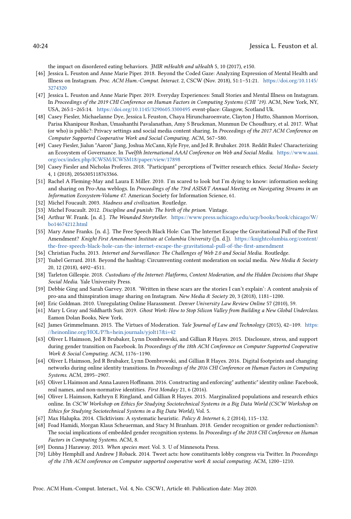the impact on disordered eating behaviors. JMIR mHealth and uHealth 5, 10 (2017), e150.

- <span id="page-23-17"></span>[46] Jessica L. Feuston and Anne Marie Piper. 2018. Beyond the Coded Gaze: Analyzing Expression of Mental Health and Illness on Instagram. Proc. ACM Hum.-Comput. Interact. 2, CSCW (Nov. 2018), 51:1–51:21. [https://doi.org/10.1145/](https://doi.org/10.1145/3274320) [3274320](https://doi.org/10.1145/3274320)
- <span id="page-23-9"></span>[47] Jessica L. Feuston and Anne Marie Piper. 2019. Everyday Experiences: Small Stories and Mental Illness on Instagram. In Proceedings of the 2019 CHI Conference on Human Factors in Computing Systems (CHI '19). ACM, New York, NY, USA, 265:1–265:14. <https://doi.org/10.1145/3290605.3300495> event-place: Glasgow, Scotland Uk.
- <span id="page-23-0"></span>[48] Casey Fiesler, Michaelanne Dye, Jessica L Feuston, Chaya Hiruncharoenvate, Clayton J Hutto, Shannon Morrison, Parisa Khanipour Roshan, Umashanthi Pavalanathan, Amy S Bruckman, Munmun De Choudhury, et al. 2017. What (or who) is public?: Privacy settings and social media content sharing. In Proceedings of the 2017 ACM Conference on Computer Supported Cooperative Work and Social Computing. ACM, 567–580.
- <span id="page-23-4"></span>[49] Casey Fiesler, Jialun "Aaron" Jiang, Joshua McCann, Kyle Frye, and Jed R. Brubaker. 2018. Reddit Rules! Characterizing an Ecosystem of Governance. In Twelfth International AAAI Conference on Web and Social Media. [https://www.aaai.](https://www.aaai.org/ocs/index.php/ICWSM/ICWSM18/paper/view/17898) [org/ocs/index.php/ICWSM/ICWSM18/paper/view/17898](https://www.aaai.org/ocs/index.php/ICWSM/ICWSM18/paper/view/17898)
- <span id="page-23-16"></span>[50] Casey Fiesler and Nicholas Proferes. 2018. "Participant" perceptions of Twitter research ethics. Social Media+ Society 4, 1 (2018), 2056305118763366.
- <span id="page-23-11"></span>[51] Rachel A Fleming-May and Laura E Miller. 2010. I'm scared to look but I'm dying to know: information seeking and sharing on Pro-Ana weblogs. In Proceedings of the 73rd ASIS&T Annual Meeting on Navigating Streams in an Information Ecosystem-Volume 47. American Society for Information Science, 61.
- <span id="page-23-12"></span>[52] Michel Foucault. 2003. Madness and civilization. Routledge.
- <span id="page-23-20"></span>[53] Michel Foucault. 2012. Discipline and punish: The birth of the prison. Vintage.
- <span id="page-23-24"></span>[54] Arthur W. Frank. [n. d.]. The Wounded Storyteller. [https://www.press.uchicago.edu/ucp/books/book/chicago/W/](https://www.press.uchicago.edu/ucp/books/book/chicago/W/bo14674212.html) [bo14674212.html](https://www.press.uchicago.edu/ucp/books/book/chicago/W/bo14674212.html)
- <span id="page-23-2"></span>[55] Mary Anne Franks. [n. d.]. The Free Speech Black Hole: Can The Internet Escape the Gravitational Pull of the First Amendment? Knight First Amendment Institute at Columbia University ([n. d.]). [https://knightcolumbia.org/content/](https://knightcolumbia.org/content/the-free-speech-black-hole-can-the-internet-escape-the-gravitational-pull-of-the-first-amendment) [the-free-speech-black-hole-can-the-internet-escape-the-gravitational-pull-of-the-first-amendment](https://knightcolumbia.org/content/the-free-speech-black-hole-can-the-internet-escape-the-gravitational-pull-of-the-first-amendment)
- <span id="page-23-21"></span>[56] Christian Fuchs. 2013. Internet and Surveillance: The Challenges of Web 2.0 and Social Media. Routledge.
- <span id="page-23-8"></span>[57] Ysabel Gerrard. 2018. Beyond the hashtag: Circumventing content moderation on social media. New Media & Society 20, 12 (2018), 4492–4511.
- <span id="page-23-1"></span>[58] Tarleton Gillespie. 2018. Custodians of the Internet: Platforms, Content Moderation, and the Hidden Decisions that Shape Social Media. Yale University Press.
- <span id="page-23-10"></span>[59] Debbie Ging and Sarah Garvey. 2018. 'Written in these scars are the stories I can't explain': A content analysis of pro-ana and thinspiration image sharing on Instagram. New Media & Society 20, 3 (2018), 1181-1200.
- <span id="page-23-3"></span>[60] Eric Goldman. 2010. Unregulating Online Harassment. Denver University Law Review Online 57 (2010), 59.
- <span id="page-23-7"></span>[61] Mary L Gray and Siddharth Suri. 2019. Ghost Work: How to Stop Silicon Valley from Building a New Global Underclass. Eamon Dolan Books, New York.
- <span id="page-23-6"></span>[62] James Grimmelmann. 2015. The Virtues of Moderation. Yale Journal of Law and Technology (2015), 42-109. [https:](https://heinonline.org/HOL/P?h=hein.journals/yjolt17&i=42) [//heinonline.org/HOL/P?h=hein.journals/yjolt17&i=42](https://heinonline.org/HOL/P?h=hein.journals/yjolt17&i=42)
- <span id="page-23-14"></span>[63] Oliver L Haimson, Jed R Brubaker, Lynn Dombrowski, and Gillian R Hayes. 2015. Disclosure, stress, and support during gender transition on Facebook. In Proceedings of the 18th ACM Conference on Computer Supported Cooperative Work & Social Computing. ACM, 1176–1190.
- <span id="page-23-13"></span>[64] Oliver L Haimson, Jed R Brubaker, Lynn Dombrowski, and Gillian R Hayes. 2016. Digital footprints and changing networks during online identity transitions. In Proceedings of the 2016 CHI Conference on Human Factors in Computing Systems. ACM, 2895–2907.
- <span id="page-23-22"></span>[65] Oliver L Haimson and Anna Lauren Hoffmann. 2016. Constructing and enforcing" authentic" identity online: Facebook, real names, and non-normative identities. First Monday 21, 6 (2016).
- <span id="page-23-15"></span>[66] Oliver L Haimson, Kathryn E Ringland, and Gillian R Hayes. 2015. Marginalized populations and research ethics online. In CSCW Workshop on Ethics for Studying Sociotechnical Systems in a Big Data World (CSCW Workshop on Ethics for Studying Sociotechnical Systems in a Big Data World), Vol. 5.
- <span id="page-23-18"></span>[67] Max Halupka. 2014. Clicktivism: A systematic heuristic. Policy & Internet 6, 2 (2014), 115–132.
- <span id="page-23-23"></span>[68] Foad Hamidi, Morgan Klaus Scheuerman, and Stacy M Branham. 2018. Gender recognition or gender reductionism?: The social implications of embedded gender recognition systems. In Proceedings of the 2018 CHI Conference on Human Factors in Computing Systems. ACM, 8.
- <span id="page-23-5"></span>[69] Donna J Haraway. 2013. When species meet. Vol. 3. U of Minnesota Press.
- <span id="page-23-19"></span>[70] Libby Hemphill and Andrew J Roback. 2014. Tweet acts: how constituents lobby congress via Twitter. In Proceedings of the 17th ACM conference on Computer supported cooperative work & social computing. ACM, 1200–1210.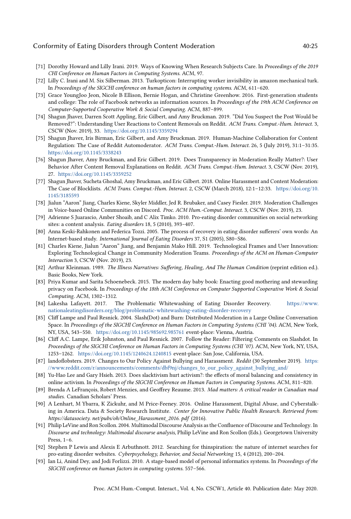- <span id="page-24-21"></span>[71] Dorothy Howard and Lilly Irani. 2019. Ways of Knowing When Research Subjects Care. In Proceedings of the 2019 CHI Conference on Human Factors in Computing Systems. ACM, 97.
- <span id="page-24-13"></span>[72] Lilly C. Irani and M. Six Silberman. 2013. Turkopticon: Interrupting worker invisibility in amazon mechanical turk. In Proceedings of the SIGCHI conference on human factors in computing systems. ACM, 611–620.
- <span id="page-24-0"></span>[73] Grace YoungJoo Jeon, Nicole B Ellison, Bernie Hogan, and Christine Greenhow. 2016. First-generation students and college: The role of Facebook networks as information sources. In Proceedings of the 19th ACM Conference on Computer-Supported Cooperative Work & Social Computing. ACM, 887–899.
- <span id="page-24-2"></span>[74] Shagun Jhaver, Darren Scott Appling, Eric Gilbert, and Amy Bruckman. 2019. "Did You Suspect the Post Would be Removed?": Understanding User Reactions to Content Removals on Reddit. ACM Trans. Comput.-Hum. Interact. 3, CSCW (Nov. 2019), 33. <https://doi.org/10.1145/3359294>
- <span id="page-24-4"></span>[75] Shagun Jhaver, Iris Birman, Eric Gilbert, and Amy Bruckman. 2019. Human-Machine Collaboration for Content Regulation: The Case of Reddit Automoderator. ACM Trans. Comput.-Hum. Interact. 26, 5 (July 2019), 31:1–31:35. <https://doi.org/10.1145/3338243>
- <span id="page-24-3"></span>[76] Shagun Jhaver, Amy Bruckman, and Eric Gilbert. 2019. Does Transparency in Moderation Really Matter?: User Behavior After Content Removal Explanations on Reddit. ACM Trans. Comput.-Hum. Interact. 3, CSCW (Nov. 2019), 27. <https://doi.org/10.1145/3359252>
- <span id="page-24-9"></span>[77] Shagun Jhaver, Sucheta Ghoshal, Amy Bruckman, and Eric Gilbert. 2018. Online Harassment and Content Moderation: The Case of Blocklists. ACM Trans. Comput.-Hum. Interact. 2, CSCW (March 2018), 12:1–12:33. [https://doi.org/10.](https://doi.org/10.1145/3185593) [1145/3185593](https://doi.org/10.1145/3185593)
- <span id="page-24-5"></span>[78] Jialun "Aaron" Jiang, Charles Kiene, Skyler Middler, Jed R. Brubaker, and Casey Fiesler. 2019. Moderation Challenges in Voice-based Online Communities on Discord. Proc. ACM Hum.-Comput. Interact. 3, CSCW (Nov. 2019), 23.
- <span id="page-24-10"></span>[79] Adrienne S Juarascio, Amber Shoaib, and C Alix Timko. 2010. Pro-eating disorder communities on social networking sites: a content analysis. Eating disorders 18, 5 (2010), 393–407.
- <span id="page-24-14"></span>[80] Anna Keski-Rahkonen and Federica Tozzi. 2005. The process of recovery in eating disorder sufferers' own words: An Internet-based study. International Journal of Eating Disorders 37, S1 (2005), S80–S86.
- <span id="page-24-8"></span>[81] Charles Kiene, Jialun "Aaron" Jiang, and Benjamin Mako Hill. 2019. Technological Frames and User Innovation: Exploring Technological Change in Community Moderation Teams. Proceedings of the ACM on Human-Computer Interaction 3, CSCW (Nov. 2019), 23.
- <span id="page-24-22"></span>[82] Arthur Kleinman. 1989. The Illness Narratives: Suffering, Healing, And The Human Condition (reprint edition ed.). Basic Books, New York.
- <span id="page-24-1"></span>[83] Priya Kumar and Sarita Schoenebeck. 2015. The modern day baby book: Enacting good mothering and stewarding privacy on Facebook. In Proceedings of the 18th ACM Conference on Computer Supported Cooperative Work & Social Computing. ACM, 1302–1312.
- <span id="page-24-18"></span>[84] Lakesha Lafayett. 2017. The Problematic Whitewashing of Eating Disorder Recovery. [https://www.](https://www.nationaleatingdisorders.org/blog/problematic-whitewashing-eating-disorder-recovery) [nationaleatingdisorders.org/blog/problematic-whitewashing-eating-disorder-recovery](https://www.nationaleatingdisorders.org/blog/problematic-whitewashing-eating-disorder-recovery)
- <span id="page-24-6"></span>[85] Cliff Lampe and Paul Resnick. 2004. Slash(Dot) and Burn: Distributed Moderation in a Large Online Conversation Space. In Proceedings of the SIGCHI Conference on Human Factors in Computing Systems (CHI '04). ACM, New York, NY, USA, 543–550. <https://doi.org/10.1145/985692.985761> event-place: Vienna, Austria.
- <span id="page-24-7"></span>[86] Cliff A.C. Lampe, Erik Johnston, and Paul Resnick. 2007. Follow the Reader: Filtering Comments on Slashdot. In Proceedings of the SIGCHI Conference on Human Factors in Computing Systems (CHI '07). ACM, New York, NY, USA, 1253–1262. <https://doi.org/10.1145/1240624.1240815> event-place: San Jose, California, USA.
- <span id="page-24-16"></span>[87] landoflobsters. 2019. Changes to Our Policy Against Bullying and Harassment. Reddit (30 September 2019). [https:](https://www.reddit.com/r/announcements/comments/dbf9nj/changes_to_our_policy_against_bullying_and/) [//www.reddit.com/r/announcements/comments/dbf9nj/changes\\_to\\_our\\_policy\\_against\\_bullying\\_and/](https://www.reddit.com/r/announcements/comments/dbf9nj/changes_to_our_policy_against_bullying_and/)
- <span id="page-24-20"></span>[88] Yu-Hao Lee and Gary Hsieh. 2013. Does slacktivism hurt activism?: the effects of moral balancing and consistency in online activism. In Proceedings of the SIGCHI Conference on Human Factors in Computing Systems. ACM, 811–820.
- <span id="page-24-12"></span>[89] Brenda A LeFrançois, Robert Menzies, and Geoffrey Reaume. 2013. Mad matters: A critical reader in Canadian mad studies. Canadian Scholars' Press.
- <span id="page-24-15"></span>[90] A Lenhart, M Ybarra, K Zickuhr, and M Price-Feeney. 2016. Online Harassment, Digital Abuse, and Cyberstalking in America. Data & Society Research Institute. Center for Innovative Public Health Research. Retrieved from: https://datasociety. net/pubs/oh/Online\_Harassment\_2016. pdf (2016).
- <span id="page-24-17"></span>[91] Philip LeVine and Ron Scollon. 2004. Multimodal Discourse Analysis as the Confluence of Discourse and Technology. In Discourse and technology: Multimodal discourse analysis, Philip LeVine and Ron Scollon (Eds.). Georgetown University Press, 1–6.
- <span id="page-24-11"></span>[92] Stephen P Lewis and Alexis E Arbuthnott. 2012. Searching for thinspiration: the nature of internet searches for pro-eating disorder websites. Cyberpsychology, Behavior, and Social Networking 15, 4 (2012), 200–204.
- <span id="page-24-19"></span>[93] Ian Li, Anind Dey, and Jodi Forlizzi. 2010. A stage-based model of personal informatics systems. In Proceedings of the SIGCHI conference on human factors in computing systems. 557–566.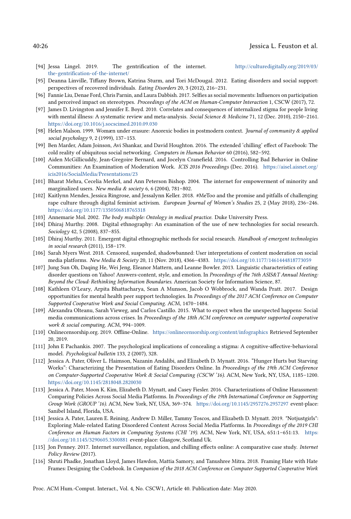#### 40:26 Jessica L. Feuston et al.

- <span id="page-25-19"></span>[94] Jessa Lingel. 2019. The gentrification of the internet. [http://culturedigitally.org/2019/03/](http://culturedigitally.org/2019/03/the-gentrification-of-the-internet/) [the-gentrification-of-the-internet/](http://culturedigitally.org/2019/03/the-gentrification-of-the-internet/)
- <span id="page-25-14"></span>[95] Deanna Linville, Tiffany Brown, Katrina Sturm, and Tori McDougal. 2012. Eating disorders and social support: perspectives of recovered individuals. Eating Disorders 20, 3 (2012), 216–231.
- <span id="page-25-10"></span>[96] Fannie Liu, Denae Ford, Chris Parnin, and Laura Dabbish. 2017. Selfies as social movements: Influences on participation and perceived impact on stereotypes. Proceedings of the ACM on Human-Computer Interaction 1, CSCW (2017), 72.
- <span id="page-25-20"></span>[97] James D. Livingston and Jennifer E. Boyd. 2010. Correlates and consequences of internalized stigma for people living with mental illness: A systematic review and meta-analysis. Social Science & Medicine 71, 12 (Dec. 2010), 2150-2161. <https://doi.org/10.1016/j.socscimed.2010.09.030>
- <span id="page-25-18"></span>[98] Helen Malson. 1999. Womæn under erasure: Anorexic bodies in postmodern context. Journal of community & applied social psychology 9, 2 (1999), 137–153.
- <span id="page-25-15"></span>[99] Ben Marder, Adam Joinson, Avi Shankar, and David Houghton. 2016. The extended 'chilling' effect of Facebook: The cold reality of ubiquitous social networking. Computers in Human Behavior 60 (2016), 582–592.
- <span id="page-25-5"></span>[100] Aiden McGillicuddy, Jean-Gregoire Bernard, and Jocelyn Cranefield. 2016. Controlling Bad Behavior in Online Communities: An Examination of Moderation Work. ICIS 2016 Proceedings (Dec. 2016). [https://aisel.aisnet.org/](https://aisel.aisnet.org/icis2016/SocialMedia/Presentations/23) [icis2016/SocialMedia/Presentations/23](https://aisel.aisnet.org/icis2016/SocialMedia/Presentations/23)
- <span id="page-25-11"></span>[101] Bharat Mehra, Cecelia Merkel, and Ann Peterson Bishop. 2004. The internet for empowerment of minority and marginalized users. New media & society 6, 6 (2004), 781-802.
- <span id="page-25-22"></span>[102] Kaitlynn Mendes, Jessica Ringrose, and Jessalynn Keller. 2018. #MeToo and the promise and pitfalls of challenging rape culture through digital feminist activism. European Journal of Women's Studies 25, 2 (May 2018), 236-246. <https://doi.org/10.1177/1350506818765318>
- <span id="page-25-4"></span>[103] Annemarie Mol. 2002. The body multiple: Ontology in medical practice. Duke University Press.
- <span id="page-25-12"></span>[104] Dhiraj Murthy. 2008. Digital ethnography: An examination of the use of new technologies for social research. Sociology 42, 5 (2008), 837–855.
- <span id="page-25-13"></span>[105] Dhiraj Murthy. 2011. Emergent digital ethnographic methods for social research. Handbook of emergent technologies in social research (2011), 158–179.
- <span id="page-25-3"></span>[106] Sarah Myers West. 2018. Censored, suspended, shadowbanned: User interpretations of content moderation on social media platforms. New Media & Society 20, 11 (Nov. 2018), 4366–4383. <https://doi.org/10.1177/1461444818773059>
- <span id="page-25-8"></span>[107] Jung Sun Oh, Daqing He, Wei Jeng, Eleanor Mattern, and Leanne Bowler. 2013. Linguistic characteristics of eating disorder questions on Yahoo! Answers-content, style, and emotion. In Proceedings of the 76th ASIS&T Annual Meeting: Beyond the Cloud: Rethinking Information Boundaries. American Society for Information Science, 87.
- <span id="page-25-9"></span>[108] Kathleen O'Leary, Arpita Bhattacharya, Sean A Munson, Jacob O Wobbrock, and Wanda Pratt. 2017. Design opportunities for mental health peer support technologies. In Proceedings of the 2017 ACM Conference on Computer Supported Cooperative Work and Social Computing. ACM, 1470–1484.
- <span id="page-25-0"></span>[109] Alexandra Olteanu, Sarah Vieweg, and Carlos Castillo. 2015. What to expect when the unexpected happens: Social media communications across crises. In Proceedings of the 18th ACM conference on computer supported cooperative work & social computing. ACM, 994–1009.
- <span id="page-25-21"></span>[110] Onlinecensorship.org. 2019. Offline-Online. <https://onlinecensorship.org/content/infographics> Retrieved September 20, 2019.
- <span id="page-25-17"></span>[111] John E Pachankis. 2007. The psychological implications of concealing a stigma: A cognitive-affective-behavioral model. Psychological bulletin 133, 2 (2007), 328.
- <span id="page-25-6"></span>[112] Jessica A. Pater, Oliver L. Haimson, Nazanin Andalibi, and Elizabeth D. Mynatt. 2016. "Hunger Hurts but Starving Works": Characterizing the Presentation of Eating Disorders Online. In Proceedings of the 19th ACM Conference on Computer-Supported Cooperative Work & Social Computing (CSCW '16). ACM, New York, NY, USA, 1185–1200. <https://doi.org/10.1145/2818048.2820030>
- <span id="page-25-2"></span>[113] Jessica A. Pater, Moon K. Kim, Elizabeth D. Mynatt, and Casey Fiesler. 2016. Characterizations of Online Harassment: Comparing Policies Across Social Media Platforms. In Proceedings of the 19th International Conference on Supporting Group Work (GROUP '16). ACM, New York, NY, USA, 369–374. <https://doi.org/10.1145/2957276.2957297> event-place: Sanibel Island, Florida, USA.
- <span id="page-25-7"></span>[114] Jessica A. Pater, Lauren E. Reining, Andrew D. Miller, Tammy Toscos, and Elizabeth D. Mynatt. 2019. "Notjustgirls": Exploring Male-related Eating Disordered Content Across Social Media Platforms. In Proceedings of the 2019 CHI Conference on Human Factors in Computing Systems (CHI '19). ACM, New York, NY, USA, 651:1–651:13. [https:](https://doi.org/10.1145/3290605.3300881) [//doi.org/10.1145/3290605.3300881](https://doi.org/10.1145/3290605.3300881) event-place: Glasgow, Scotland Uk.
- <span id="page-25-16"></span>[115] Jon Penney. 2017. Internet surveillance, regulation, and chilling effects online: A comparative case study. Internet Policy Review (2017).
- <span id="page-25-1"></span>[116] Shruti Phadke, Jonathan Lloyd, James Hawdon, Mattia Samory, and Tanushree Mitra. 2018. Framing Hate with Hate Frames: Designing the Codebook. In Companion of the 2018 ACM Conference on Computer Supported Cooperative Work

Proc. ACM Hum.-Comput. Interact., Vol. 4, No. CSCW1, Article 40. Publication date: May 2020.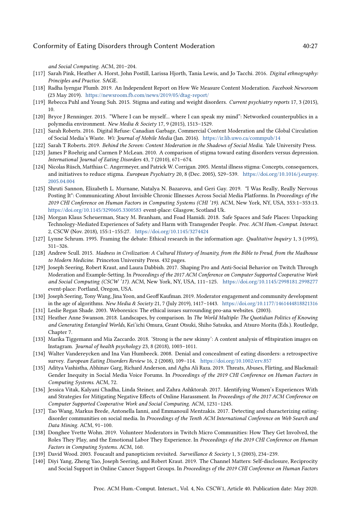and Social Computing. ACM, 201–204.

- <span id="page-26-15"></span>[117] Sarah Pink, Heather A. Horst, John Postill, Larissa Hjorth, Tania Lewis, and Jo Tacchi. 2016. Digital ethnography: Principles and Practice. SAGE.
- <span id="page-26-4"></span>[118] Radha Iyengar Plumb. 2019. An Independent Report on How We Measure Content Moderation. Facebook Newsroom (23 May 2019). <https://newsroom.fb.com/news/2019/05/dtag-report/>
- <span id="page-26-12"></span>[119] Rebecca Puhl and Young Suh. 2015. Stigma and eating and weight disorders. Current psychiatry reports 17, 3 (2015), 10.
- <span id="page-26-13"></span>[120] Bryce J Renninger. 2015. "Where I can be myself... where I can speak my mind": Networked counterpublics in a polymedia environment. New Media & Society 17, 9 (2015), 1513-1529.
- <span id="page-26-7"></span>[121] Sarah Roberts. 2016. Digital Refuse: Canadian Garbage, Commercial Content Moderation and the Global Circulation of Social Media's Waste. Wi: Journal of Mobile Media (Jan. 2016). <https://ir.lib.uwo.ca/commpub/14>
- <span id="page-26-6"></span>[122] Sarah T Roberts. 2019. Behind the Screen: Content Moderation in the Shadows of Social Media. Yale University Press.
- <span id="page-26-11"></span>[123] James P Roehrig and Carmen P McLean. 2010. A comparison of stigma toward eating disorders versus depression. International Journal of Eating Disorders 43, 7 (2010), 671–674.
- <span id="page-26-23"></span>[124] Nicolas Rüsch, Matthias C. Angermeyer, and Patrick W. Corrigan. 2005. Mental illness stigma: Concepts, consequences, and initiatives to reduce stigma. European Psychiatry 20, 8 (Dec. 2005), 529–539. [https://doi.org/10.1016/j.eurpsy.](https://doi.org/10.1016/j.eurpsy.2005.04.004) [2005.04.004](https://doi.org/10.1016/j.eurpsy.2005.04.004)
- <span id="page-26-21"></span>[125] Shruti Sannon, Elizabeth L. Murnane, Natalya N. Bazarova, and Geri Gay. 2019. "I Was Really, Really Nervous Posting It": Communicating About Invisible Chronic Illnesses Across Social Media Platforms. In Proceedings of the 2019 CHI Conference on Human Factors in Computing Systems (CHI '19). ACM, New York, NY, USA, 353:1–353:13. <https://doi.org/10.1145/3290605.3300583> event-place: Glasgow, Scotland Uk.
- <span id="page-26-14"></span>[126] Morgan Klaus Scheuerman, Stacy M. Branham, and Foad Hamidi. 2018. Safe Spaces and Safe Places: Unpacking Technology-Mediated Experiences of Safety and Harm with Transgender People. Proc. ACM Hum.-Comput. Interact. 2, CSCW (Nov. 2018), 155:1–155:27. <https://doi.org/10.1145/3274424>
- <span id="page-26-16"></span>[127] Lynne Schrum. 1995. Framing the debate: Ethical research in the information age. Qualitative Inquiry 1, 3 (1995), 311–326.
- <span id="page-26-10"></span>[128] Andrew Scull. 2015. Madness in Civilization: A Cultural History of Insanity, from the Bible to Freud, from the Madhouse to Modern Medicine. Princeton University Press. 432 pages.
- <span id="page-26-2"></span>[129] Joseph Seering, Robert Kraut, and Laura Dabbish. 2017. Shaping Pro and Anti-Social Behavior on Twitch Through Moderation and Example-Setting. In Proceedings of the 2017 ACM Conference on Computer Supported Cooperative Work and Social Computing (CSCW '17). ACM, New York, NY, USA, 111–125. <https://doi.org/10.1145/2998181.2998277> event-place: Portland, Oregon, USA.
- <span id="page-26-3"></span>[130] Joseph Seering, Tony Wang, Jina Yoon, and Geoff Kaufman. 2019. Moderator engagement and community development in the age of algorithms. New Media & Society 21, 7 (July 2019), 1417–1443. <https://doi.org/10.1177/1461444818821316>
- <span id="page-26-9"></span>[131] Leslie Regan Shade. 2003. Weborexics: The ethical issues surrounding pro-ana websites. (2003).
- <span id="page-26-5"></span>[132] Heather Anne Swanson. 2018. Landscapes, by comparison. In The World Multiple: The Quotidian Politics of Knowing and Generating Entangled Worlds, Kei'ichi Omura, Grant Otsuki, Shiho Satsuka, and Atsuro Morita (Eds.). Routledge, Chapter 7.
- <span id="page-26-19"></span>[133] Marika Tiggemann and Mia Zaccardo. 2018. 'Strong is the new skinny': A content analysis of #fitspiration images on Instagram. Journal of health psychology 23, 8 (2018), 1003–1011.
- <span id="page-26-17"></span>[134] Walter Vandereycken and Ina Van Humbeeck. 2008. Denial and concealment of eating disorders: a retrospective survey. European Eating Disorders Review 16, 2 (2008), 109–114. <https://doi.org/10.1002/erv.857>
- <span id="page-26-0"></span>[135] Aditya Vashistha, Abhinav Garg, Richard Anderson, and Agha Ali Raza. 2019. Threats, Abuses, Flirting, and Blackmail: Gender Inequity in Social Media Voice Forums. In Proceedings of the 2019 CHI Conference on Human Factors in Computing Systems. ACM, 72.
- <span id="page-26-1"></span>[136] Jessica Vitak, Kalyani Chadha, Linda Steiner, and Zahra Ashktorab. 2017. Identifying Women's Experiences With and Strategies for Mitigating Negative Effects of Online Harassment. In Proceedings of the 2017 ACM Conference on Computer Supported Cooperative Work and Social Computing. ACM, 1231–1245.
- <span id="page-26-8"></span>[137] Tao Wang, Markus Brede, Antonella Ianni, and Emmanouil Mentzakis. 2017. Detecting and characterizing eatingdisorder communities on social media. In Proceedings of the Tenth ACM International Conference on Web Search and Data Mining. ACM, 91–100.
- <span id="page-26-18"></span>[138] Donghee Yvette Wohn. 2019. Volunteer Moderators in Twitch Micro Communities: How They Get Involved, the Roles They Play, and the Emotional Labor They Experience. In Proceedings of the 2019 CHI Conference on Human Factors in Computing Systems. ACM, 160.
- <span id="page-26-20"></span>[139] David Wood. 2003. Foucault and panopticism revisited. Surveillance & Society 1, 3 (2003), 234–239.
- <span id="page-26-22"></span>[140] Diyi Yang, Zheng Yao, Joseph Seering, and Robert Kraut. 2019. The Channel Matters: Self-disclosure, Reciprocity and Social Support in Online Cancer Support Groups. In Proceedings of the 2019 CHI Conference on Human Factors